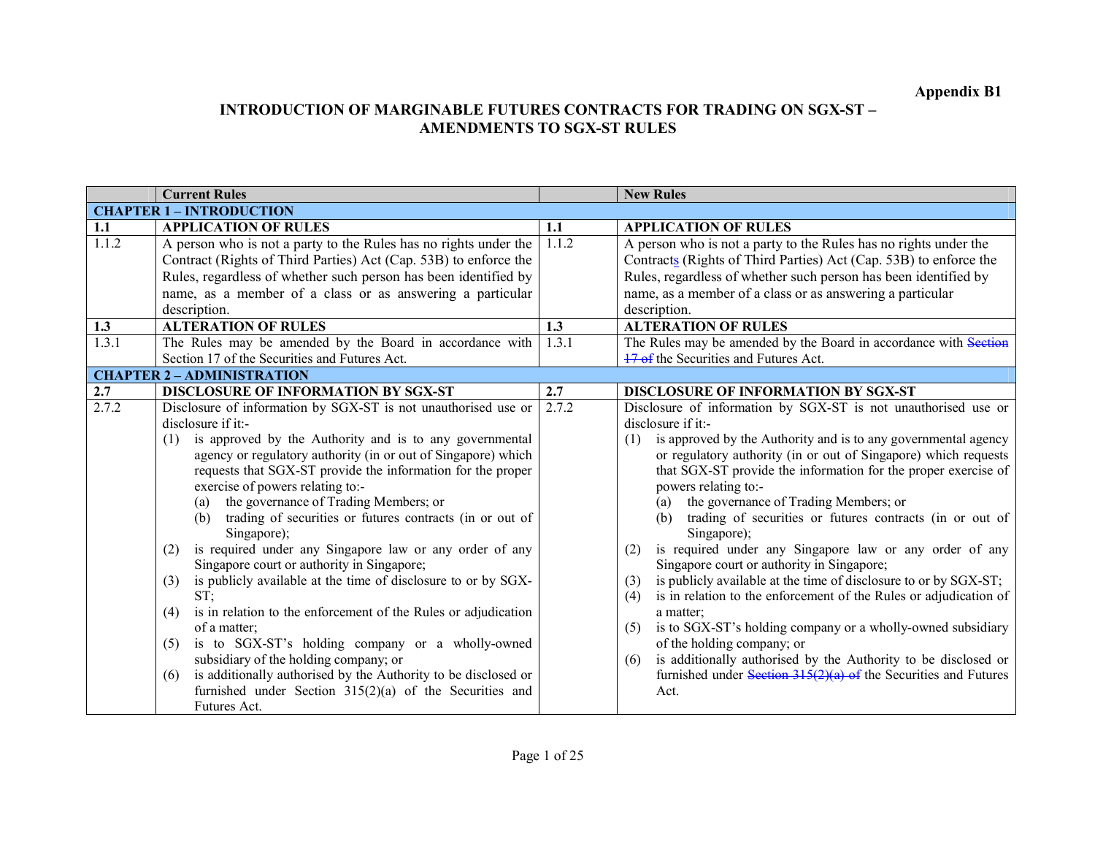# Appendix B1

|                                                 | <b>Current Rules</b>                                                                                                                                                                                                                                                                                                                                                                                                                                                                                                                                                                                                                                                                                                                                                                                                                                                                                                                                              |       | <b>New Rules</b>                                                                                                                                                                                                                                                                                                                                                                                                                                                                                                                                                                                                                                                                                                                                                                                                                                                                                                                                                                                           |
|-------------------------------------------------|-------------------------------------------------------------------------------------------------------------------------------------------------------------------------------------------------------------------------------------------------------------------------------------------------------------------------------------------------------------------------------------------------------------------------------------------------------------------------------------------------------------------------------------------------------------------------------------------------------------------------------------------------------------------------------------------------------------------------------------------------------------------------------------------------------------------------------------------------------------------------------------------------------------------------------------------------------------------|-------|------------------------------------------------------------------------------------------------------------------------------------------------------------------------------------------------------------------------------------------------------------------------------------------------------------------------------------------------------------------------------------------------------------------------------------------------------------------------------------------------------------------------------------------------------------------------------------------------------------------------------------------------------------------------------------------------------------------------------------------------------------------------------------------------------------------------------------------------------------------------------------------------------------------------------------------------------------------------------------------------------------|
|                                                 | <b>CHAPTER 1 - INTRODUCTION</b>                                                                                                                                                                                                                                                                                                                                                                                                                                                                                                                                                                                                                                                                                                                                                                                                                                                                                                                                   |       |                                                                                                                                                                                                                                                                                                                                                                                                                                                                                                                                                                                                                                                                                                                                                                                                                                                                                                                                                                                                            |
| 1.1                                             | <b>APPLICATION OF RULES</b>                                                                                                                                                                                                                                                                                                                                                                                                                                                                                                                                                                                                                                                                                                                                                                                                                                                                                                                                       | 1.1   | <b>APPLICATION OF RULES</b>                                                                                                                                                                                                                                                                                                                                                                                                                                                                                                                                                                                                                                                                                                                                                                                                                                                                                                                                                                                |
| $\overline{1.1.2}$                              | A person who is not a party to the Rules has no rights under the<br>Contract (Rights of Third Parties) Act (Cap. 53B) to enforce the<br>Rules, regardless of whether such person has been identified by<br>name, as a member of a class or as answering a particular<br>description.                                                                                                                                                                                                                                                                                                                                                                                                                                                                                                                                                                                                                                                                              | 1.1.2 | A person who is not a party to the Rules has no rights under the<br>Contracts (Rights of Third Parties) Act (Cap. 53B) to enforce the<br>Rules, regardless of whether such person has been identified by<br>name, as a member of a class or as answering a particular<br>description.                                                                                                                                                                                                                                                                                                                                                                                                                                                                                                                                                                                                                                                                                                                      |
| 1.3                                             | <b>ALTERATION OF RULES</b>                                                                                                                                                                                                                                                                                                                                                                                                                                                                                                                                                                                                                                                                                                                                                                                                                                                                                                                                        | 1.3   | <b>ALTERATION OF RULES</b>                                                                                                                                                                                                                                                                                                                                                                                                                                                                                                                                                                                                                                                                                                                                                                                                                                                                                                                                                                                 |
| 1.3.1                                           | The Rules may be amended by the Board in accordance with<br>Section 17 of the Securities and Futures Act.                                                                                                                                                                                                                                                                                                                                                                                                                                                                                                                                                                                                                                                                                                                                                                                                                                                         | 1.3.1 | The Rules may be amended by the Board in accordance with Section<br>17 of the Securities and Futures Act.                                                                                                                                                                                                                                                                                                                                                                                                                                                                                                                                                                                                                                                                                                                                                                                                                                                                                                  |
|                                                 | <b>CHAPTER 2 - ADMINISTRATION</b>                                                                                                                                                                                                                                                                                                                                                                                                                                                                                                                                                                                                                                                                                                                                                                                                                                                                                                                                 |       |                                                                                                                                                                                                                                                                                                                                                                                                                                                                                                                                                                                                                                                                                                                                                                                                                                                                                                                                                                                                            |
| 2.7                                             | <b>DISCLOSURE OF INFORMATION BY SGX-ST</b>                                                                                                                                                                                                                                                                                                                                                                                                                                                                                                                                                                                                                                                                                                                                                                                                                                                                                                                        | 2.7   | <b>DISCLOSURE OF INFORMATION BY SGX-ST</b>                                                                                                                                                                                                                                                                                                                                                                                                                                                                                                                                                                                                                                                                                                                                                                                                                                                                                                                                                                 |
| 2.7.2<br>(1)<br>(2)<br>(3)<br>(4)<br>(5)<br>(6) | Disclosure of information by SGX-ST is not unauthorised use or<br>disclosure if it:-<br>is approved by the Authority and is to any governmental<br>agency or regulatory authority (in or out of Singapore) which<br>requests that SGX-ST provide the information for the proper<br>exercise of powers relating to:-<br>the governance of Trading Members; or<br>(a)<br>(b) trading of securities or futures contracts (in or out of<br>Singapore);<br>is required under any Singapore law or any order of any<br>Singapore court or authority in Singapore;<br>is publicly available at the time of disclosure to or by SGX-<br>ST:<br>is in relation to the enforcement of the Rules or adjudication<br>of a matter;<br>is to SGX-ST's holding company or a wholly-owned<br>subsidiary of the holding company; or<br>is additionally authorised by the Authority to be disclosed or<br>furnished under Section $315(2)(a)$ of the Securities and<br>Futures Act. | 2.7.2 | Disclosure of information by SGX-ST is not unauthorised use or<br>disclosure if it:-<br>is approved by the Authority and is to any governmental agency<br>(1)<br>or regulatory authority (in or out of Singapore) which requests<br>that SGX-ST provide the information for the proper exercise of<br>powers relating to:-<br>the governance of Trading Members; or<br>(a)<br>trading of securities or futures contracts (in or out of<br>(b)<br>Singapore);<br>is required under any Singapore law or any order of any<br>(2)<br>Singapore court or authority in Singapore;<br>is publicly available at the time of disclosure to or by SGX-ST;<br>(3)<br>is in relation to the enforcement of the Rules or adjudication of<br>(4)<br>a matter;<br>is to SGX-ST's holding company or a wholly-owned subsidiary<br>(5)<br>of the holding company; or<br>is additionally authorised by the Authority to be disclosed or<br>(6)<br>furnished under Section $315(2)(a)$ of the Securities and Futures<br>Act. |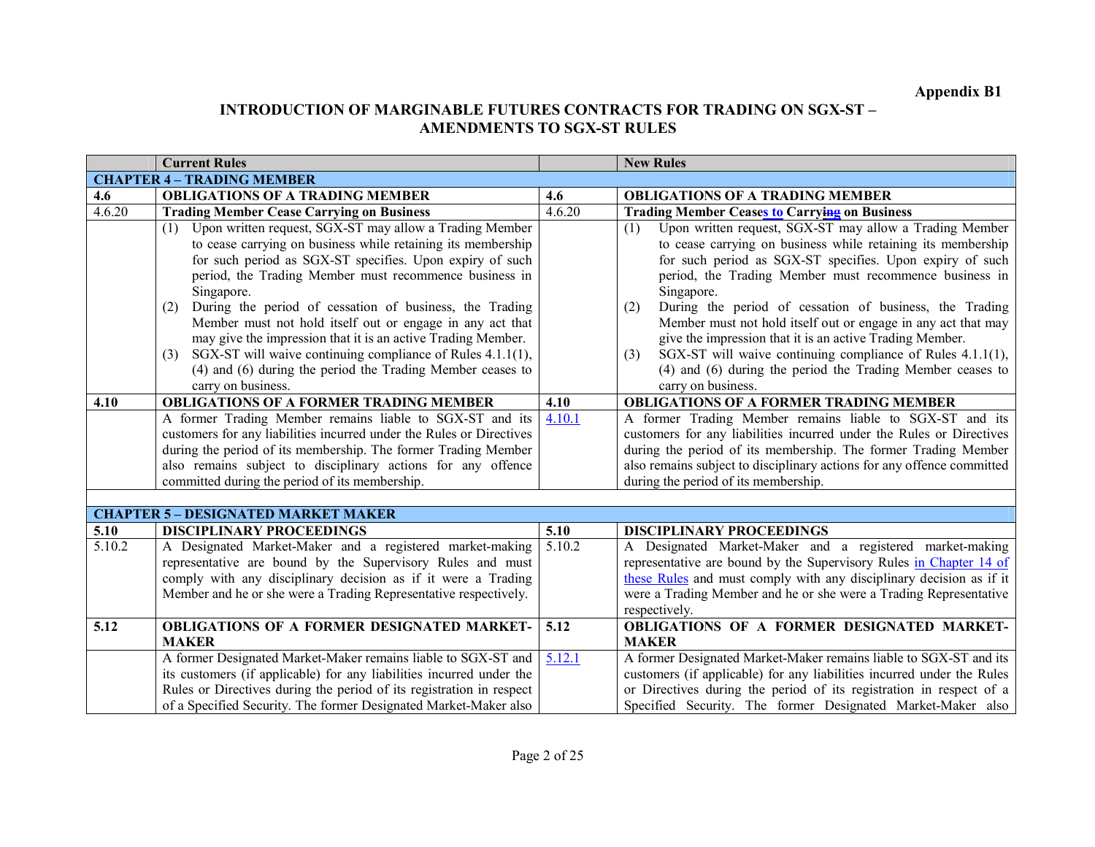|        | <b>Current Rules</b>                                                                                                                                                                                                                                                                                                                                                                                                                                                                                                                                                                                 |        | <b>New Rules</b>                                                                                                                                                                                                                                                                                                                                                                                                                                                                                                                                                                                     |
|--------|------------------------------------------------------------------------------------------------------------------------------------------------------------------------------------------------------------------------------------------------------------------------------------------------------------------------------------------------------------------------------------------------------------------------------------------------------------------------------------------------------------------------------------------------------------------------------------------------------|--------|------------------------------------------------------------------------------------------------------------------------------------------------------------------------------------------------------------------------------------------------------------------------------------------------------------------------------------------------------------------------------------------------------------------------------------------------------------------------------------------------------------------------------------------------------------------------------------------------------|
|        | <b>CHAPTER 4 - TRADING MEMBER</b>                                                                                                                                                                                                                                                                                                                                                                                                                                                                                                                                                                    |        |                                                                                                                                                                                                                                                                                                                                                                                                                                                                                                                                                                                                      |
| 4.6    | <b>OBLIGATIONS OF A TRADING MEMBER</b>                                                                                                                                                                                                                                                                                                                                                                                                                                                                                                                                                               | 4.6    | <b>OBLIGATIONS OF A TRADING MEMBER</b>                                                                                                                                                                                                                                                                                                                                                                                                                                                                                                                                                               |
| 4.6.20 | <b>Trading Member Cease Carrying on Business</b>                                                                                                                                                                                                                                                                                                                                                                                                                                                                                                                                                     | 4.6.20 | <b>Trading Member Ceases to Carrying on Business</b>                                                                                                                                                                                                                                                                                                                                                                                                                                                                                                                                                 |
|        | Upon written request, SGX-ST may allow a Trading Member<br>(1)<br>to cease carrying on business while retaining its membership<br>for such period as SGX-ST specifies. Upon expiry of such<br>period, the Trading Member must recommence business in<br>Singapore.<br>During the period of cessation of business, the Trading<br>(2)<br>Member must not hold itself out or engage in any act that<br>may give the impression that it is an active Trading Member.<br>SGX-ST will waive continuing compliance of Rules 4.1.1(1),<br>(3)<br>(4) and (6) during the period the Trading Member ceases to |        | Upon written request, SGX-ST may allow a Trading Member<br>(1)<br>to cease carrying on business while retaining its membership<br>for such period as SGX-ST specifies. Upon expiry of such<br>period, the Trading Member must recommence business in<br>Singapore.<br>During the period of cessation of business, the Trading<br>(2)<br>Member must not hold itself out or engage in any act that may<br>give the impression that it is an active Trading Member.<br>SGX-ST will waive continuing compliance of Rules 4.1.1(1),<br>(3)<br>(4) and (6) during the period the Trading Member ceases to |
|        | carry on business.                                                                                                                                                                                                                                                                                                                                                                                                                                                                                                                                                                                   |        | carry on business.                                                                                                                                                                                                                                                                                                                                                                                                                                                                                                                                                                                   |
| 4.10   | <b>OBLIGATIONS OF A FORMER TRADING MEMBER</b>                                                                                                                                                                                                                                                                                                                                                                                                                                                                                                                                                        | 4.10   | <b>OBLIGATIONS OF A FORMER TRADING MEMBER</b>                                                                                                                                                                                                                                                                                                                                                                                                                                                                                                                                                        |
|        | A former Trading Member remains liable to SGX-ST and its                                                                                                                                                                                                                                                                                                                                                                                                                                                                                                                                             | 4.10.1 | A former Trading Member remains liable to SGX-ST and its                                                                                                                                                                                                                                                                                                                                                                                                                                                                                                                                             |
|        | customers for any liabilities incurred under the Rules or Directives                                                                                                                                                                                                                                                                                                                                                                                                                                                                                                                                 |        | customers for any liabilities incurred under the Rules or Directives                                                                                                                                                                                                                                                                                                                                                                                                                                                                                                                                 |
|        | during the period of its membership. The former Trading Member                                                                                                                                                                                                                                                                                                                                                                                                                                                                                                                                       |        | during the period of its membership. The former Trading Member                                                                                                                                                                                                                                                                                                                                                                                                                                                                                                                                       |
|        | also remains subject to disciplinary actions for any offence                                                                                                                                                                                                                                                                                                                                                                                                                                                                                                                                         |        | also remains subject to disciplinary actions for any offence committed                                                                                                                                                                                                                                                                                                                                                                                                                                                                                                                               |
|        | committed during the period of its membership.                                                                                                                                                                                                                                                                                                                                                                                                                                                                                                                                                       |        | during the period of its membership.                                                                                                                                                                                                                                                                                                                                                                                                                                                                                                                                                                 |
|        |                                                                                                                                                                                                                                                                                                                                                                                                                                                                                                                                                                                                      |        |                                                                                                                                                                                                                                                                                                                                                                                                                                                                                                                                                                                                      |
|        | <b>CHAPTER 5 - DESIGNATED MARKET MAKER</b>                                                                                                                                                                                                                                                                                                                                                                                                                                                                                                                                                           |        |                                                                                                                                                                                                                                                                                                                                                                                                                                                                                                                                                                                                      |
| 5.10   | <b>DISCIPLINARY PROCEEDINGS</b>                                                                                                                                                                                                                                                                                                                                                                                                                                                                                                                                                                      | 5.10   | <b>DISCIPLINARY PROCEEDINGS</b>                                                                                                                                                                                                                                                                                                                                                                                                                                                                                                                                                                      |
| 5.10.2 | A Designated Market-Maker and a registered market-making<br>representative are bound by the Supervisory Rules and must<br>comply with any disciplinary decision as if it were a Trading<br>Member and he or she were a Trading Representative respectively.                                                                                                                                                                                                                                                                                                                                          | 5.10.2 | A Designated Market-Maker and a registered market-making<br>representative are bound by the Supervisory Rules in Chapter 14 of<br>these Rules and must comply with any disciplinary decision as if it<br>were a Trading Member and he or she were a Trading Representative<br>respectively.                                                                                                                                                                                                                                                                                                          |
| 5.12   | <b>OBLIGATIONS OF A FORMER DESIGNATED MARKET-</b>                                                                                                                                                                                                                                                                                                                                                                                                                                                                                                                                                    | 5.12   | OBLIGATIONS OF A FORMER DESIGNATED MARKET-                                                                                                                                                                                                                                                                                                                                                                                                                                                                                                                                                           |
|        | <b>MAKER</b>                                                                                                                                                                                                                                                                                                                                                                                                                                                                                                                                                                                         |        | <b>MAKER</b>                                                                                                                                                                                                                                                                                                                                                                                                                                                                                                                                                                                         |
|        | A former Designated Market-Maker remains liable to SGX-ST and<br>its customers (if applicable) for any liabilities incurred under the<br>Rules or Directives during the period of its registration in respect<br>of a Specified Security. The former Designated Market-Maker also                                                                                                                                                                                                                                                                                                                    | 5.12.1 | A former Designated Market-Maker remains liable to SGX-ST and its<br>customers (if applicable) for any liabilities incurred under the Rules<br>or Directives during the period of its registration in respect of a<br>Specified Security. The former Designated Market-Maker also                                                                                                                                                                                                                                                                                                                    |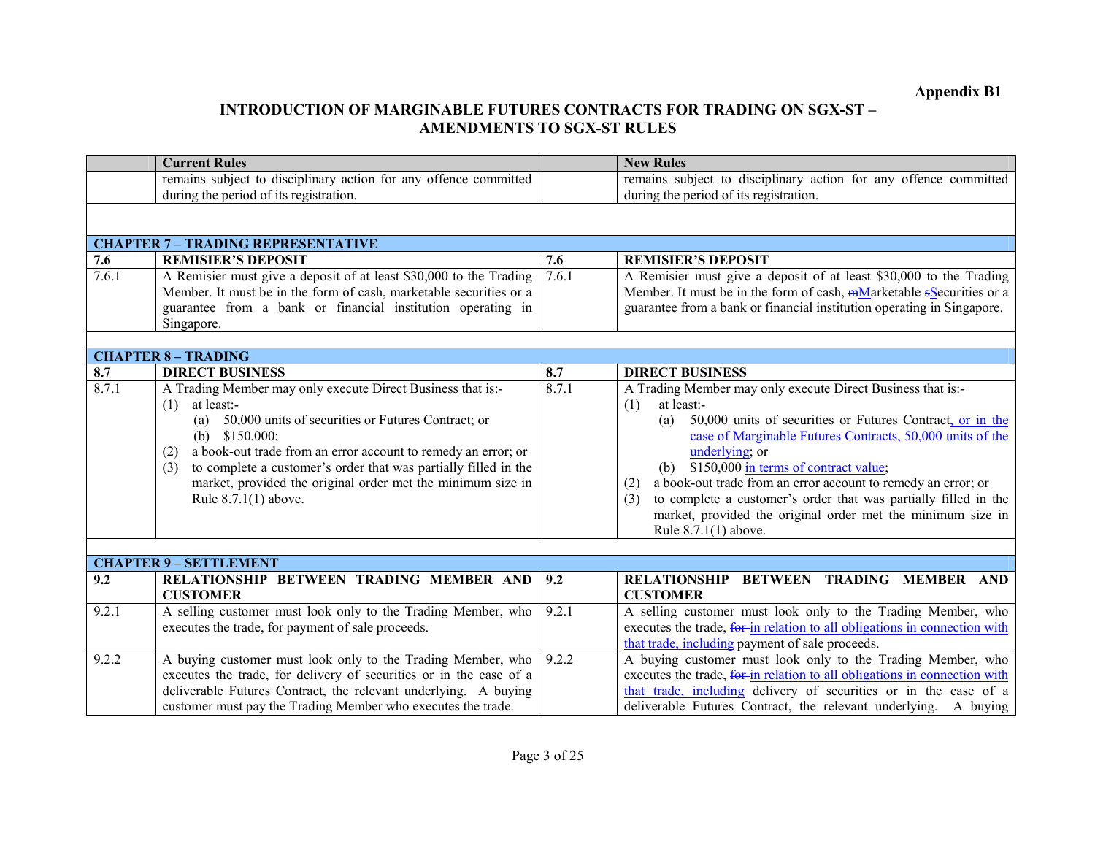|       | <b>Current Rules</b>                                                      |       | <b>New Rules</b>                                                                                                              |
|-------|---------------------------------------------------------------------------|-------|-------------------------------------------------------------------------------------------------------------------------------|
|       | remains subject to disciplinary action for any offence committed          |       | remains subject to disciplinary action for any offence committed                                                              |
|       | during the period of its registration.                                    |       | during the period of its registration.                                                                                        |
|       |                                                                           |       |                                                                                                                               |
|       | <b>CHAPTER 7 - TRADING REPRESENTATIVE</b>                                 |       |                                                                                                                               |
| 7.6   | <b>REMISIER'S DEPOSIT</b>                                                 | 7.6   | <b>REMISIER'S DEPOSIT</b>                                                                                                     |
| 7.6.1 | A Remisier must give a deposit of at least \$30,000 to the Trading        | 7.6.1 | A Remisier must give a deposit of at least \$30,000 to the Trading                                                            |
|       | Member. It must be in the form of cash, marketable securities or a        |       | Member. It must be in the form of cash, mMarketable sSecurities or a                                                          |
|       | guarantee from a bank or financial institution operating in               |       | guarantee from a bank or financial institution operating in Singapore.                                                        |
|       | Singapore.                                                                |       |                                                                                                                               |
|       |                                                                           |       |                                                                                                                               |
|       | <b>CHAPTER 8 - TRADING</b>                                                |       |                                                                                                                               |
| 8.7   | <b>DIRECT BUSINESS</b>                                                    | 8.7   | <b>DIRECT BUSINESS</b>                                                                                                        |
| 8.7.1 | A Trading Member may only execute Direct Business that is:-               | 8.7.1 | A Trading Member may only execute Direct Business that is:-                                                                   |
|       | at least:-<br>(1)                                                         |       | at least:-<br>(1)                                                                                                             |
|       | (a) 50,000 units of securities or Futures Contract; or<br>(b) $$150,000;$ |       | 50,000 units of securities or Futures Contract, or in the<br>(a)<br>case of Marginable Futures Contracts, 50,000 units of the |
|       | a book-out trade from an error account to remedy an error; or<br>(2)      |       | underlying; or                                                                                                                |
|       | to complete a customer's order that was partially filled in the<br>(3)    |       | (b) $$150,000$ in terms of contract value;                                                                                    |
|       | market, provided the original order met the minimum size in               |       | a book-out trade from an error account to remedy an error; or<br>(2)                                                          |
|       | Rule $8.7.1(1)$ above.                                                    |       | to complete a customer's order that was partially filled in the<br>(3)                                                        |
|       |                                                                           |       | market, provided the original order met the minimum size in                                                                   |
|       |                                                                           |       | Rule 8.7.1(1) above.                                                                                                          |
|       |                                                                           |       |                                                                                                                               |
|       | <b>CHAPTER 9 - SETTLEMENT</b>                                             |       |                                                                                                                               |
| 9.2   | RELATIONSHIP BETWEEN TRADING MEMBER AND                                   | 9.2   | RELATIONSHIP BETWEEN TRADING MEMBER AND                                                                                       |
|       | <b>CUSTOMER</b>                                                           |       | <b>CUSTOMER</b>                                                                                                               |
| 9.2.1 | A selling customer must look only to the Trading Member, who              | 9.2.1 | A selling customer must look only to the Trading Member, who                                                                  |
|       | executes the trade, for payment of sale proceeds.                         |       | executes the trade, for in relation to all obligations in connection with                                                     |
|       |                                                                           |       | that trade, including payment of sale proceeds.                                                                               |
| 9.2.2 | A buying customer must look only to the Trading Member, who               | 9.2.2 | A buying customer must look only to the Trading Member, who                                                                   |
|       | executes the trade, for delivery of securities or in the case of a        |       | executes the trade, for in relation to all obligations in connection with                                                     |
|       | deliverable Futures Contract, the relevant underlying. A buying           |       | that trade, including delivery of securities or in the case of a                                                              |
|       | customer must pay the Trading Member who executes the trade.              |       | deliverable Futures Contract, the relevant underlying. A buying                                                               |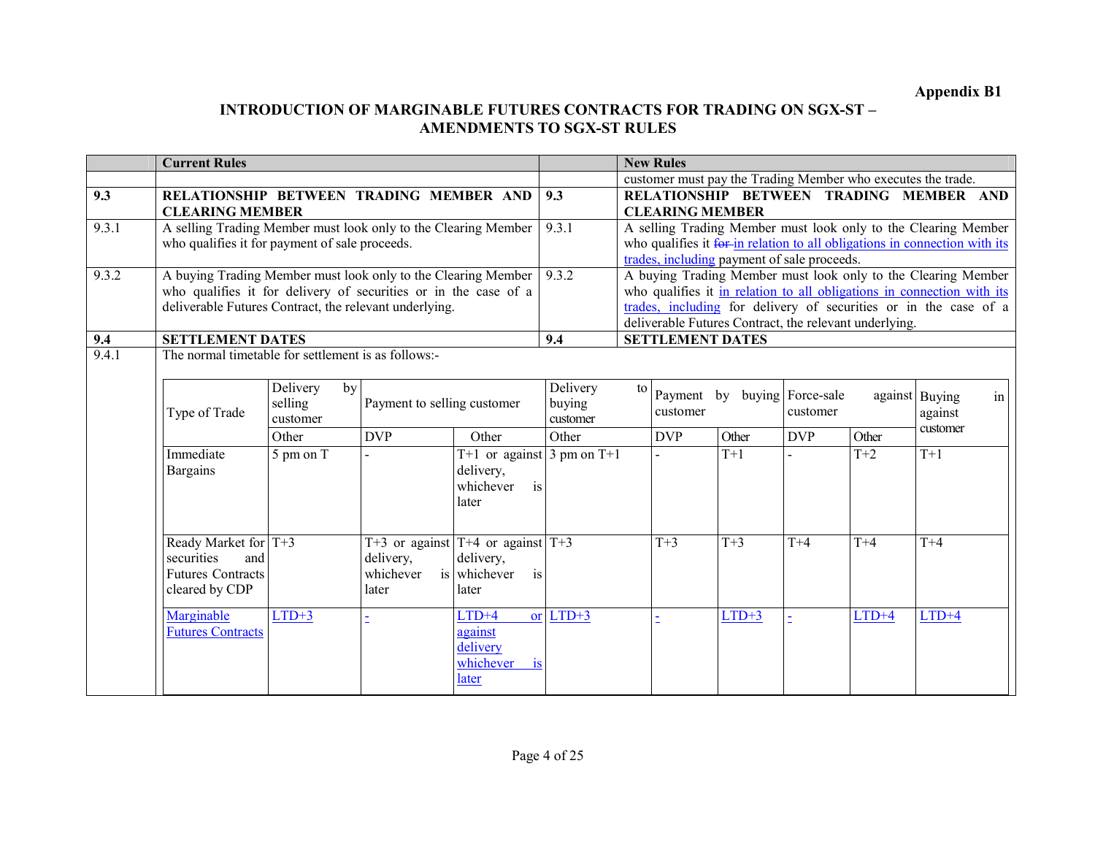|              | <b>Current Rules</b>                                                           |                                              |                             |                                                    |                    | <b>New Rules</b> |                         |                                                                            |                   |         |                |    |
|--------------|--------------------------------------------------------------------------------|----------------------------------------------|-----------------------------|----------------------------------------------------|--------------------|------------------|-------------------------|----------------------------------------------------------------------------|-------------------|---------|----------------|----|
|              |                                                                                |                                              |                             |                                                    |                    |                  |                         | customer must pay the Trading Member who executes the trade.               |                   |         |                |    |
| 9.3          | RELATIONSHIP BETWEEN TRADING MEMBER AND                                        |                                              |                             |                                                    | 9.3                |                  |                         | RELATIONSHIP BETWEEN TRADING MEMBER AND                                    |                   |         |                |    |
|              | <b>CLEARING MEMBER</b>                                                         |                                              |                             |                                                    |                    |                  | <b>CLEARING MEMBER</b>  |                                                                            |                   |         |                |    |
| 9.3.1        | A selling Trading Member must look only to the Clearing Member                 |                                              |                             |                                                    | 9.3.1              |                  |                         | A selling Trading Member must look only to the Clearing Member             |                   |         |                |    |
|              | who qualifies it for payment of sale proceeds.                                 |                                              |                             |                                                    |                    |                  |                         | who qualifies it for in relation to all obligations in connection with its |                   |         |                |    |
|              |                                                                                |                                              |                             |                                                    |                    |                  |                         | trades, including payment of sale proceeds.                                |                   |         |                |    |
| 9.3.2        | A buying Trading Member must look only to the Clearing Member                  |                                              |                             |                                                    | 9.3.2              |                  |                         | A buying Trading Member must look only to the Clearing Member              |                   |         |                |    |
|              | who qualifies it for delivery of securities or in the case of a                |                                              |                             |                                                    |                    |                  |                         | who qualifies it in relation to all obligations in connection with its     |                   |         |                |    |
|              | deliverable Futures Contract, the relevant underlying.                         |                                              |                             |                                                    |                    |                  |                         | trades, including for delivery of securities or in the case of a           |                   |         |                |    |
|              |                                                                                |                                              |                             |                                                    |                    |                  |                         | deliverable Futures Contract, the relevant underlying.                     |                   |         |                |    |
| 9.4<br>9.4.1 | <b>SETTLEMENT DATES</b><br>The normal timetable for settlement is as follows:- |                                              |                             |                                                    | 9.4                |                  | <b>SETTLEMENT DATES</b> |                                                                            |                   |         |                |    |
|              |                                                                                |                                              |                             |                                                    |                    |                  |                         |                                                                            |                   |         |                |    |
|              |                                                                                | Delivery<br>by<br>selling                    | Payment to selling customer |                                                    | Delivery<br>buying | to               | Payment by              |                                                                            | buying Force-sale |         | against Buying | in |
|              | Type of Trade                                                                  | customer                                     |                             |                                                    | customer           |                  | customer                |                                                                            | customer          | against |                |    |
|              |                                                                                | Other                                        | <b>DVP</b>                  | Other                                              | Other              |                  | <b>DVP</b>              | Other                                                                      | <b>DVP</b>        | Other   | customer       |    |
|              | Immediate                                                                      | $5 \text{ pm} \overline{\text{on} \text{T}}$ |                             | T+1 or against 3 pm on T+1                         |                    |                  |                         | $T+1$                                                                      |                   | $T+2$   | $T+1$          |    |
|              | <b>Bargains</b>                                                                |                                              |                             | delivery,<br>is<br>whichever                       |                    |                  |                         |                                                                            |                   |         |                |    |
|              |                                                                                |                                              |                             | later                                              |                    |                  |                         |                                                                            |                   |         |                |    |
|              | Ready Market for T+3<br>securities<br>and                                      |                                              | delivery,                   | T+3 or against $T+4$ or against $T+3$<br>delivery, |                    |                  | $T+3$                   | $T+3$                                                                      | $T+4$             | $T+4$   | $T+4$          |    |
|              | <b>Futures Contracts</b>                                                       |                                              | whichever                   | is whichever<br>is                                 |                    |                  |                         |                                                                            |                   |         |                |    |
|              | cleared by CDP                                                                 |                                              | later                       | later                                              |                    |                  |                         |                                                                            |                   |         |                |    |
|              | Marginable                                                                     | $LTD+3$                                      |                             | $LTD+4$                                            | or $LTD+3$         |                  |                         | $LTD+3$                                                                    |                   | $LTD+4$ | $LTD+4$        |    |
|              | <b>Futures Contracts</b>                                                       |                                              |                             | against<br>delivery                                |                    |                  |                         |                                                                            |                   |         |                |    |
|              |                                                                                |                                              |                             | whichever<br><sup>is</sup><br>later                |                    |                  |                         |                                                                            |                   |         |                |    |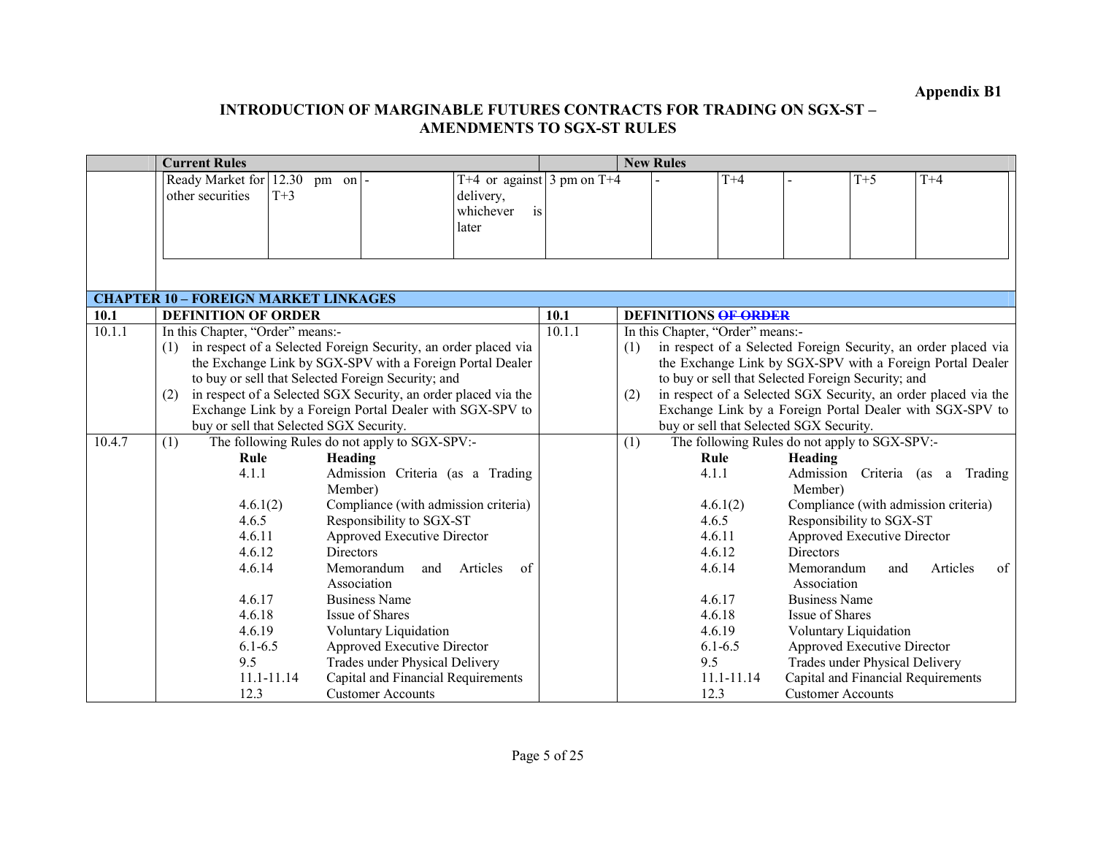|        | <b>Current Rules</b>                        |                                                                |        | <b>New Rules</b>                        |                                                                |
|--------|---------------------------------------------|----------------------------------------------------------------|--------|-----------------------------------------|----------------------------------------------------------------|
|        | Ready Market for 12.30                      | T+4 or against $\frac{3 \text{ pm on T}}{4}$<br>$pm$ on $-$    |        | $T+4$                                   | $T+5$<br>$T+4$                                                 |
|        | other securities<br>$T+3$                   | delivery,                                                      |        |                                         |                                                                |
|        |                                             | whichever<br>is                                                |        |                                         |                                                                |
|        |                                             | later                                                          |        |                                         |                                                                |
|        |                                             |                                                                |        |                                         |                                                                |
|        |                                             |                                                                |        |                                         |                                                                |
|        |                                             |                                                                |        |                                         |                                                                |
|        | <b>CHAPTER 10 - FOREIGN MARKET LINKAGES</b> |                                                                |        |                                         |                                                                |
| 10.1   | <b>DEFINITION OF ORDER</b>                  |                                                                | 10.1   | <b>DEFINITIONS OF ORDER</b>             |                                                                |
| 10.1.1 | In this Chapter, "Order" means:-            |                                                                | 10.1.1 | In this Chapter, "Order" means:-        |                                                                |
|        | (1)                                         | in respect of a Selected Foreign Security, an order placed via |        | (1)                                     | in respect of a Selected Foreign Security, an order placed via |
|        |                                             | the Exchange Link by SGX-SPV with a Foreign Portal Dealer      |        |                                         | the Exchange Link by SGX-SPV with a Foreign Portal Dealer      |
|        |                                             | to buy or sell that Selected Foreign Security; and             |        |                                         | to buy or sell that Selected Foreign Security; and             |
|        | (2)                                         | in respect of a Selected SGX Security, an order placed via the |        | (2)                                     | in respect of a Selected SGX Security, an order placed via the |
|        |                                             | Exchange Link by a Foreign Portal Dealer with SGX-SPV to       |        |                                         | Exchange Link by a Foreign Portal Dealer with SGX-SPV to       |
|        | buy or sell that Selected SGX Security.     |                                                                |        | buy or sell that Selected SGX Security. |                                                                |
| 10.4.7 | (1)                                         | The following Rules do not apply to SGX-SPV:-                  |        | (1)                                     | The following Rules do not apply to SGX-SPV:-                  |
|        | Rule                                        | Heading                                                        |        | Rule                                    | Heading                                                        |
|        | 4.1.1                                       | Admission Criteria (as a Trading<br>Member)                    |        | 4.1.1                                   | Admission Criteria (as a Trading<br>Member)                    |
|        | 4.6.1(2)                                    | Compliance (with admission criteria)                           |        | 4.6.1(2)                                | Compliance (with admission criteria)                           |
|        | 4.6.5                                       | Responsibility to SGX-ST                                       |        | 4.6.5                                   | Responsibility to SGX-ST                                       |
|        | 4.6.11                                      | Approved Executive Director                                    |        | 4.6.11                                  | Approved Executive Director                                    |
|        | 4.6.12                                      | <b>Directors</b>                                               |        | 4.6.12                                  | <b>Directors</b>                                               |
|        | 4.6.14                                      | Memorandum<br>Articles<br>of<br>and                            |        | 4.6.14                                  | Memorandum<br>Articles<br>of<br>and                            |
|        |                                             | Association                                                    |        |                                         | Association                                                    |
|        | 4.6.17                                      | <b>Business Name</b>                                           |        | 4.6.17                                  | <b>Business Name</b>                                           |
|        | 4.6.18                                      | <b>Issue of Shares</b>                                         |        | 4.6.18                                  | <b>Issue of Shares</b>                                         |
|        | 4.6.19                                      | Voluntary Liquidation                                          |        | 4.6.19                                  | Voluntary Liquidation                                          |
|        | $6.1 - 6.5$                                 | Approved Executive Director                                    |        | $6.1 - 6.5$                             | Approved Executive Director                                    |
|        | 9.5                                         | <b>Trades under Physical Delivery</b>                          |        | 9.5                                     | <b>Trades under Physical Delivery</b>                          |
|        | 11.1-11.14                                  | Capital and Financial Requirements                             |        | 11.1-11.14                              | Capital and Financial Requirements                             |
|        | 12.3                                        | <b>Customer Accounts</b>                                       |        | 12.3                                    | <b>Customer Accounts</b>                                       |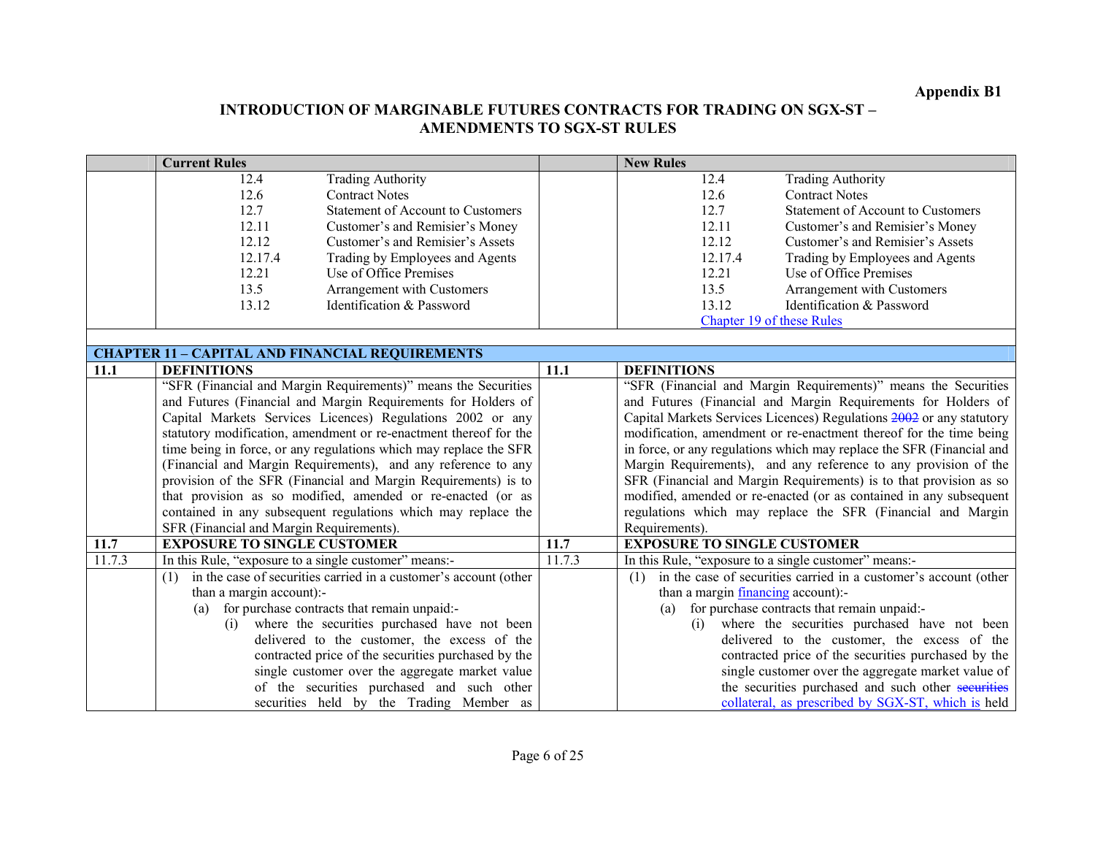|        | <b>Current Rules</b>                                  |                                                                   |        | <b>New Rules</b>                          |                                                                       |
|--------|-------------------------------------------------------|-------------------------------------------------------------------|--------|-------------------------------------------|-----------------------------------------------------------------------|
|        | 12.4                                                  | <b>Trading Authority</b>                                          |        | 12.4                                      | <b>Trading Authority</b>                                              |
|        | 12.6                                                  | <b>Contract Notes</b>                                             |        | 12.6                                      | <b>Contract Notes</b>                                                 |
|        | 12.7                                                  | <b>Statement of Account to Customers</b>                          |        | 12.7                                      | <b>Statement of Account to Customers</b>                              |
|        | 12.11                                                 | Customer's and Remisier's Money                                   |        | 12.11                                     | Customer's and Remisier's Money                                       |
|        | 12.12                                                 | Customer's and Remisier's Assets                                  |        | 12.12                                     | Customer's and Remisier's Assets                                      |
|        | 12.17.4                                               | Trading by Employees and Agents                                   |        | 12.17.4                                   | Trading by Employees and Agents                                       |
|        | 12.21                                                 | Use of Office Premises                                            |        | 12.21                                     | Use of Office Premises                                                |
|        | 13.5                                                  | Arrangement with Customers                                        |        | 13.5                                      | Arrangement with Customers                                            |
|        | 13.12                                                 | Identification & Password                                         |        | 13.12                                     | Identification & Password                                             |
|        |                                                       |                                                                   |        |                                           | Chapter 19 of these Rules                                             |
|        |                                                       |                                                                   |        |                                           |                                                                       |
|        |                                                       | <b>CHAPTER 11 - CAPITAL AND FINANCIAL REQUIREMENTS</b>            |        |                                           |                                                                       |
| 11.1   | <b>DEFINITIONS</b>                                    |                                                                   | 11.1   | <b>DEFINITIONS</b>                        |                                                                       |
|        |                                                       | "SFR (Financial and Margin Requirements)" means the Securities    |        |                                           | "SFR (Financial and Margin Requirements)" means the Securities        |
|        |                                                       | and Futures (Financial and Margin Requirements for Holders of     |        |                                           | and Futures (Financial and Margin Requirements for Holders of         |
|        |                                                       | Capital Markets Services Licences) Regulations 2002 or any        |        |                                           | Capital Markets Services Licences) Regulations 2002 or any statutory  |
|        |                                                       | statutory modification, amendment or re-enactment thereof for the |        |                                           | modification, amendment or re-enactment thereof for the time being    |
|        |                                                       | time being in force, or any regulations which may replace the SFR |        |                                           | in force, or any regulations which may replace the SFR (Financial and |
|        |                                                       | (Financial and Margin Requirements), and any reference to any     |        |                                           | Margin Requirements), and any reference to any provision of the       |
|        |                                                       | provision of the SFR (Financial and Margin Requirements) is to    |        |                                           | SFR (Financial and Margin Requirements) is to that provision as so    |
|        |                                                       | that provision as so modified, amended or re-enacted (or as       |        |                                           | modified, amended or re-enacted (or as contained in any subsequent    |
|        |                                                       | contained in any subsequent regulations which may replace the     |        |                                           | regulations which may replace the SFR (Financial and Margin           |
|        | SFR (Financial and Margin Requirements).              |                                                                   |        | Requirements).                            |                                                                       |
| 11.7   | <b>EXPOSURE TO SINGLE CUSTOMER</b>                    |                                                                   | 11.7   | <b>EXPOSURE TO SINGLE CUSTOMER</b>        |                                                                       |
| 11.7.3 | In this Rule, "exposure to a single customer" means:- |                                                                   | 11.7.3 |                                           | In this Rule, "exposure to a single customer" means:-                 |
|        | (1)                                                   | in the case of securities carried in a customer's account (other  |        | (1)                                       | in the case of securities carried in a customer's account (other      |
|        | than a margin account):-                              |                                                                   |        | than a margin <i>financing</i> account):- |                                                                       |
|        | (a)                                                   | for purchase contracts that remain unpaid:-                       |        | (a)                                       | for purchase contracts that remain unpaid:-                           |
|        | (i)                                                   | where the securities purchased have not been                      |        | (i)                                       | where the securities purchased have not been                          |
|        |                                                       | delivered to the customer, the excess of the                      |        |                                           | delivered to the customer, the excess of the                          |
|        |                                                       | contracted price of the securities purchased by the               |        |                                           | contracted price of the securities purchased by the                   |
|        |                                                       | single customer over the aggregate market value                   |        |                                           | single customer over the aggregate market value of                    |
|        |                                                       | of the securities purchased and such other                        |        |                                           | the securities purchased and such other securities                    |
|        |                                                       | securities held by the Trading Member as                          |        |                                           | collateral, as prescribed by SGX-ST, which is held                    |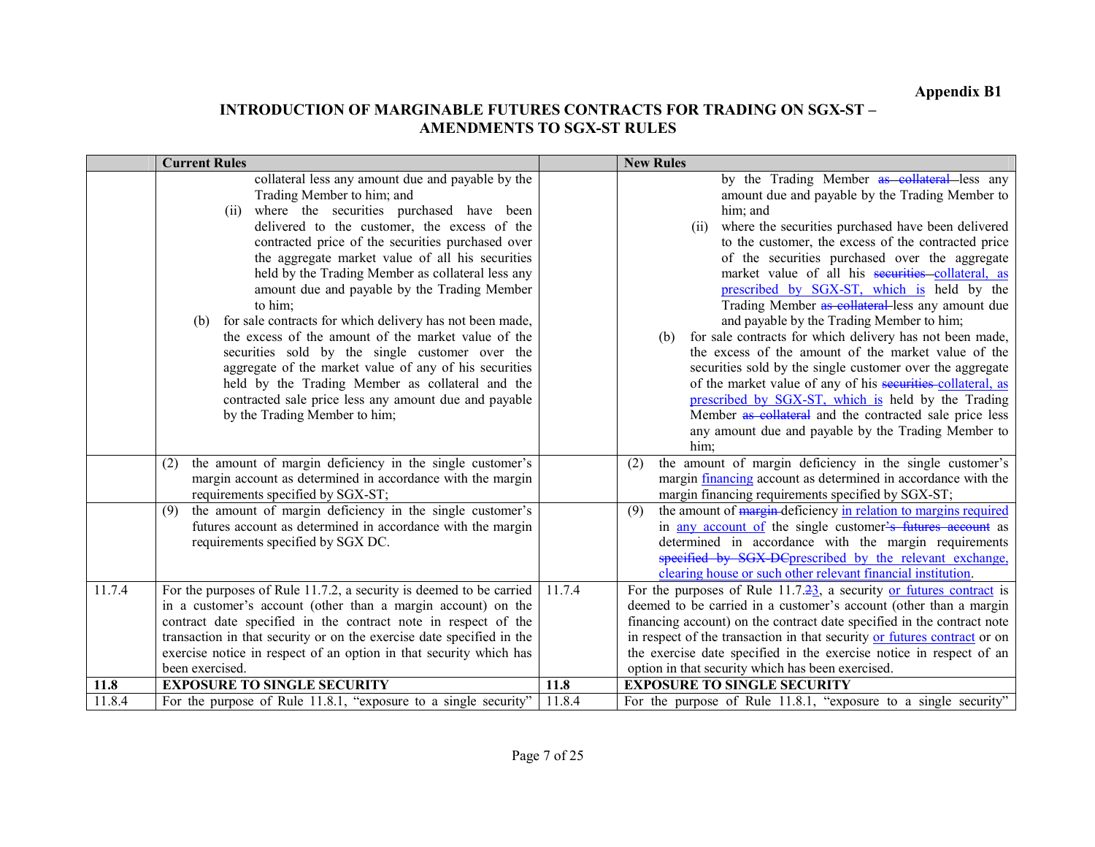# Appendix B1

|        | <b>Current Rules</b>                                                                                                                                                                                                                                                                                                                                                                                                                                                                                                                                                                                                                                                                                                                                                                              |        | <b>New Rules</b>                                                                                                                                                                                                                                                                                                                                                                                                                                                                                                                                                                                                                                                                                                                                                                                                                                                                                                             |
|--------|---------------------------------------------------------------------------------------------------------------------------------------------------------------------------------------------------------------------------------------------------------------------------------------------------------------------------------------------------------------------------------------------------------------------------------------------------------------------------------------------------------------------------------------------------------------------------------------------------------------------------------------------------------------------------------------------------------------------------------------------------------------------------------------------------|--------|------------------------------------------------------------------------------------------------------------------------------------------------------------------------------------------------------------------------------------------------------------------------------------------------------------------------------------------------------------------------------------------------------------------------------------------------------------------------------------------------------------------------------------------------------------------------------------------------------------------------------------------------------------------------------------------------------------------------------------------------------------------------------------------------------------------------------------------------------------------------------------------------------------------------------|
|        | collateral less any amount due and payable by the<br>Trading Member to him; and<br>where the securities purchased have been<br>(ii)<br>delivered to the customer, the excess of the<br>contracted price of the securities purchased over<br>the aggregate market value of all his securities<br>held by the Trading Member as collateral less any<br>amount due and payable by the Trading Member<br>to him;<br>for sale contracts for which delivery has not been made,<br>(b)<br>the excess of the amount of the market value of the<br>securities sold by the single customer over the<br>aggregate of the market value of any of his securities<br>held by the Trading Member as collateral and the<br>contracted sale price less any amount due and payable<br>by the Trading Member to him; |        | by the Trading Member as collateral less any<br>amount due and payable by the Trading Member to<br>him; and<br>where the securities purchased have been delivered<br>(ii)<br>to the customer, the excess of the contracted price<br>of the securities purchased over the aggregate<br>market value of all his securities collateral, as<br>prescribed by SGX-ST, which is held by the<br>Trading Member as collateral less any amount due<br>and payable by the Trading Member to him;<br>for sale contracts for which delivery has not been made,<br>(b)<br>the excess of the amount of the market value of the<br>securities sold by the single customer over the aggregate<br>of the market value of any of his securities collateral, as<br>prescribed by SGX-ST, which is held by the Trading<br>Member as collateral and the contracted sale price less<br>any amount due and payable by the Trading Member to<br>him; |
|        | the amount of margin deficiency in the single customer's<br>(2)<br>margin account as determined in accordance with the margin<br>requirements specified by SGX-ST;                                                                                                                                                                                                                                                                                                                                                                                                                                                                                                                                                                                                                                |        | the amount of margin deficiency in the single customer's<br>(2)<br>margin <i>financing</i> account as determined in accordance with the<br>margin financing requirements specified by SGX-ST;                                                                                                                                                                                                                                                                                                                                                                                                                                                                                                                                                                                                                                                                                                                                |
|        | the amount of margin deficiency in the single customer's<br>(9)<br>futures account as determined in accordance with the margin<br>requirements specified by SGX DC.                                                                                                                                                                                                                                                                                                                                                                                                                                                                                                                                                                                                                               |        | the amount of margin deficiency in relation to margins required<br>(9)<br>in any account of the single customer's futures account as<br>determined in accordance with the margin requirements<br>specified by SGX-DCprescribed by the relevant exchange,<br>clearing house or such other relevant financial institution.                                                                                                                                                                                                                                                                                                                                                                                                                                                                                                                                                                                                     |
| 11.7.4 | For the purposes of Rule 11.7.2, a security is deemed to be carried<br>in a customer's account (other than a margin account) on the<br>contract date specified in the contract note in respect of the<br>transaction in that security or on the exercise date specified in the<br>exercise notice in respect of an option in that security which has<br>been exercised.                                                                                                                                                                                                                                                                                                                                                                                                                           | 11.7.4 | For the purposes of Rule $11.7.\overline{23}$ , a security or futures contract is<br>deemed to be carried in a customer's account (other than a margin<br>financing account) on the contract date specified in the contract note<br>in respect of the transaction in that security or futures contract or on<br>the exercise date specified in the exercise notice in respect of an<br>option in that security which has been exercised.                                                                                                                                                                                                                                                                                                                                                                                                                                                                                     |
| 11.8   | <b>EXPOSURE TO SINGLE SECURITY</b>                                                                                                                                                                                                                                                                                                                                                                                                                                                                                                                                                                                                                                                                                                                                                                | 11.8   | <b>EXPOSURE TO SINGLE SECURITY</b>                                                                                                                                                                                                                                                                                                                                                                                                                                                                                                                                                                                                                                                                                                                                                                                                                                                                                           |
| 11.8.4 | For the purpose of Rule 11.8.1, "exposure to a single security"                                                                                                                                                                                                                                                                                                                                                                                                                                                                                                                                                                                                                                                                                                                                   | 11.8.4 | For the purpose of Rule 11.8.1, "exposure to a single security"                                                                                                                                                                                                                                                                                                                                                                                                                                                                                                                                                                                                                                                                                                                                                                                                                                                              |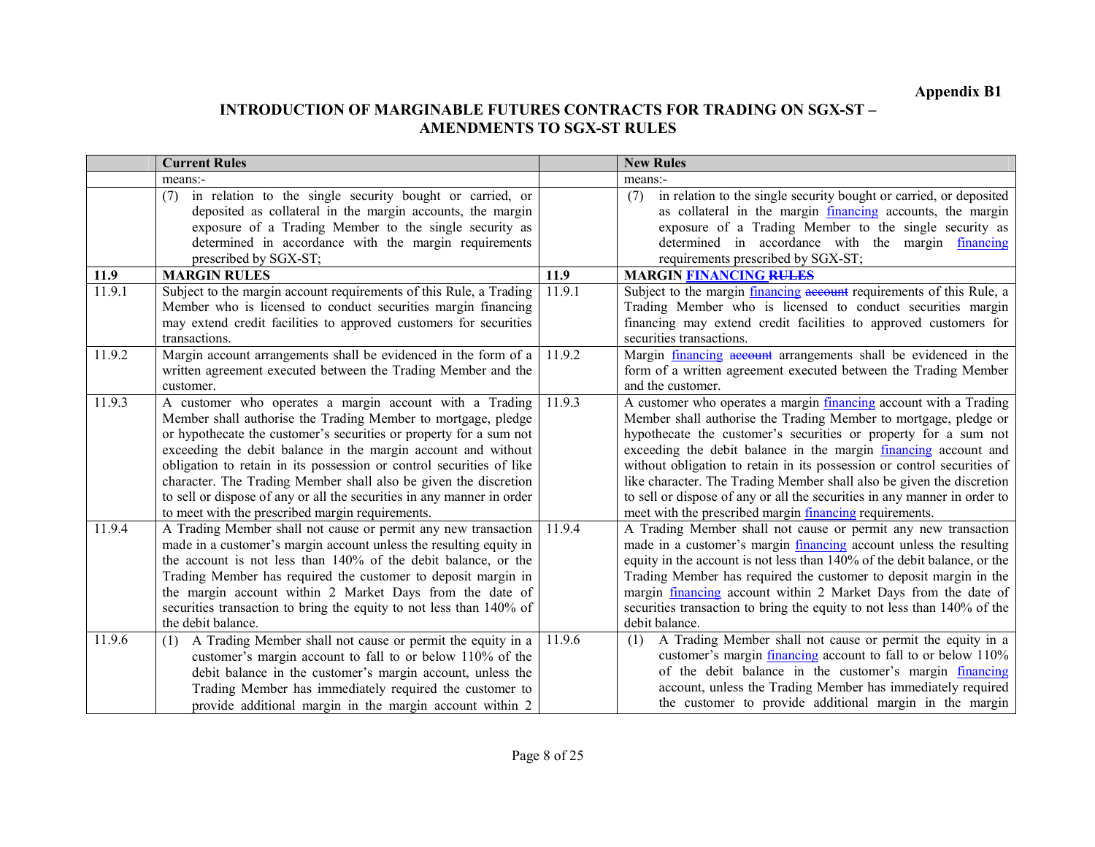|        | <b>Current Rules</b>                                                   |        | <b>New Rules</b>                                                            |
|--------|------------------------------------------------------------------------|--------|-----------------------------------------------------------------------------|
|        | means:-                                                                |        | means:-                                                                     |
|        | in relation to the single security bought or carried, or<br>(7)        |        | in relation to the single security bought or carried, or deposited<br>(7)   |
|        | deposited as collateral in the margin accounts, the margin             |        | as collateral in the margin financing accounts, the margin                  |
|        | exposure of a Trading Member to the single security as                 |        | exposure of a Trading Member to the single security as                      |
|        | determined in accordance with the margin requirements                  |        | determined in accordance with the margin financing                          |
|        | prescribed by SGX-ST;                                                  |        | requirements prescribed by SGX-ST;                                          |
| 11.9   | <b>MARGIN RULES</b>                                                    | 11.9   | <b>MARGIN FINANCING RULES</b>                                               |
| 11.9.1 | Subject to the margin account requirements of this Rule, a Trading     | 11.9.1 | Subject to the margin <i>financing</i> account requirements of this Rule, a |
|        | Member who is licensed to conduct securities margin financing          |        | Trading Member who is licensed to conduct securities margin                 |
|        | may extend credit facilities to approved customers for securities      |        | financing may extend credit facilities to approved customers for            |
|        | transactions.                                                          |        | securities transactions.                                                    |
| 11.9.2 | Margin account arrangements shall be evidenced in the form of a        | 11.9.2 | Margin financing account arrangements shall be evidenced in the             |
|        | written agreement executed between the Trading Member and the          |        | form of a written agreement executed between the Trading Member             |
|        | customer.                                                              |        | and the customer.                                                           |
| 11.9.3 | A customer who operates a margin account with a Trading                | 11.9.3 | A customer who operates a margin <i>financing</i> account with a Trading    |
|        | Member shall authorise the Trading Member to mortgage, pledge          |        | Member shall authorise the Trading Member to mortgage, pledge or            |
|        | or hypothecate the customer's securities or property for a sum not     |        | hypothecate the customer's securities or property for a sum not             |
|        | exceeding the debit balance in the margin account and without          |        | exceeding the debit balance in the margin financing account and             |
|        | obligation to retain in its possession or control securities of like   |        | without obligation to retain in its possession or control securities of     |
|        | character. The Trading Member shall also be given the discretion       |        | like character. The Trading Member shall also be given the discretion       |
|        | to sell or dispose of any or all the securities in any manner in order |        | to sell or dispose of any or all the securities in any manner in order to   |
|        | to meet with the prescribed margin requirements.                       |        | meet with the prescribed margin financing requirements.                     |
| 11.9.4 | A Trading Member shall not cause or permit any new transaction         | 11.9.4 | A Trading Member shall not cause or permit any new transaction              |
|        | made in a customer's margin account unless the resulting equity in     |        | made in a customer's margin <i>financing</i> account unless the resulting   |
|        | the account is not less than 140% of the debit balance, or the         |        | equity in the account is not less than 140% of the debit balance, or the    |
|        | Trading Member has required the customer to deposit margin in          |        | Trading Member has required the customer to deposit margin in the           |
|        | the margin account within 2 Market Days from the date of               |        | margin financing account within 2 Market Days from the date of              |
|        | securities transaction to bring the equity to not less than 140% of    |        | securities transaction to bring the equity to not less than 140% of the     |
|        | the debit balance.                                                     |        | debit balance.                                                              |
| 11.9.6 | A Trading Member shall not cause or permit the equity in a<br>(1)      | 11.9.6 | A Trading Member shall not cause or permit the equity in a<br>(1)           |
|        | customer's margin account to fall to or below 110% of the              |        | customer's margin <i>financing</i> account to fall to or below 110%         |
|        | debit balance in the customer's margin account, unless the             |        | of the debit balance in the customer's margin financing                     |
|        | Trading Member has immediately required the customer to                |        | account, unless the Trading Member has immediately required                 |
|        | provide additional margin in the margin account within 2               |        | the customer to provide additional margin in the margin                     |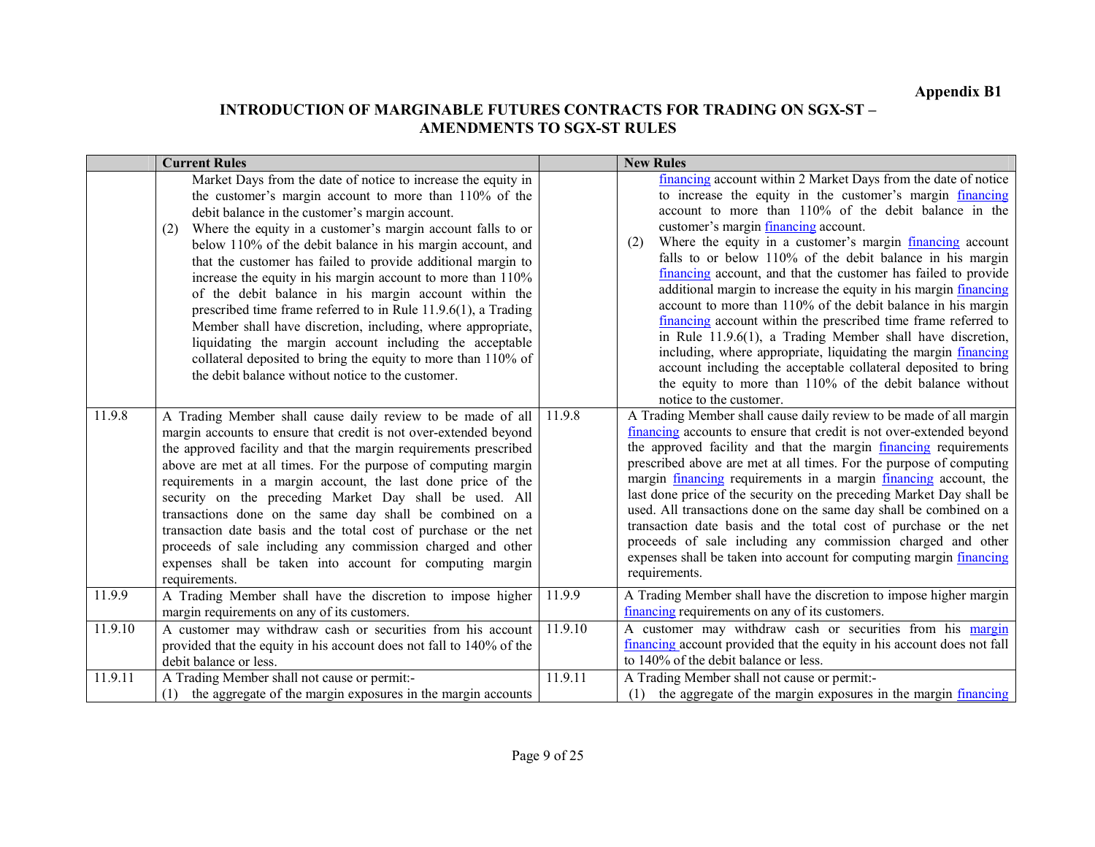|         | <b>Current Rules</b>                                                                                                                                                                                                                                                                                                                                                                                                                                                                                                                                                                                                                                                                                                                                                                                                     |         | <b>New Rules</b>                                                                                                                                                                                                                                                                                                                                                                                                                                                                                                                                                                                                                                                                                                                                                                                                                                                                                                                          |
|---------|--------------------------------------------------------------------------------------------------------------------------------------------------------------------------------------------------------------------------------------------------------------------------------------------------------------------------------------------------------------------------------------------------------------------------------------------------------------------------------------------------------------------------------------------------------------------------------------------------------------------------------------------------------------------------------------------------------------------------------------------------------------------------------------------------------------------------|---------|-------------------------------------------------------------------------------------------------------------------------------------------------------------------------------------------------------------------------------------------------------------------------------------------------------------------------------------------------------------------------------------------------------------------------------------------------------------------------------------------------------------------------------------------------------------------------------------------------------------------------------------------------------------------------------------------------------------------------------------------------------------------------------------------------------------------------------------------------------------------------------------------------------------------------------------------|
|         | Market Days from the date of notice to increase the equity in<br>the customer's margin account to more than 110% of the<br>debit balance in the customer's margin account.<br>Where the equity in a customer's margin account falls to or<br>(2)<br>below 110% of the debit balance in his margin account, and<br>that the customer has failed to provide additional margin to<br>increase the equity in his margin account to more than 110%<br>of the debit balance in his margin account within the<br>prescribed time frame referred to in Rule 11.9.6(1), a Trading<br>Member shall have discretion, including, where appropriate,<br>liquidating the margin account including the acceptable<br>collateral deposited to bring the equity to more than 110% of<br>the debit balance without notice to the customer. |         | financing account within 2 Market Days from the date of notice<br>to increase the equity in the customer's margin financing<br>account to more than 110% of the debit balance in the<br>customer's margin financing account.<br>Where the equity in a customer's margin financing account<br>(2)<br>falls to or below 110% of the debit balance in his margin<br>financing account, and that the customer has failed to provide<br>additional margin to increase the equity in his margin <i>financing</i><br>account to more than 110% of the debit balance in his margin<br>financing account within the prescribed time frame referred to<br>in Rule $11.9.6(1)$ , a Trading Member shall have discretion,<br>including, where appropriate, liquidating the margin financing<br>account including the acceptable collateral deposited to bring<br>the equity to more than 110% of the debit balance without<br>notice to the customer. |
| 11.9.8  | A Trading Member shall cause daily review to be made of all<br>margin accounts to ensure that credit is not over-extended beyond<br>the approved facility and that the margin requirements prescribed<br>above are met at all times. For the purpose of computing margin<br>requirements in a margin account, the last done price of the<br>security on the preceding Market Day shall be used. All<br>transactions done on the same day shall be combined on a<br>transaction date basis and the total cost of purchase or the net<br>proceeds of sale including any commission charged and other<br>expenses shall be taken into account for computing margin<br>requirements.                                                                                                                                         | 11.9.8  | A Trading Member shall cause daily review to be made of all margin<br>financing accounts to ensure that credit is not over-extended beyond<br>the approved facility and that the margin financing requirements<br>prescribed above are met at all times. For the purpose of computing<br>margin financing requirements in a margin financing account, the<br>last done price of the security on the preceding Market Day shall be<br>used. All transactions done on the same day shall be combined on a<br>transaction date basis and the total cost of purchase or the net<br>proceeds of sale including any commission charged and other<br>expenses shall be taken into account for computing margin financing<br>requirements.                                                                                                                                                                                                        |
| 11.9.9  | A Trading Member shall have the discretion to impose higher<br>margin requirements on any of its customers.                                                                                                                                                                                                                                                                                                                                                                                                                                                                                                                                                                                                                                                                                                              | 11.9.9  | A Trading Member shall have the discretion to impose higher margin<br>financing requirements on any of its customers.                                                                                                                                                                                                                                                                                                                                                                                                                                                                                                                                                                                                                                                                                                                                                                                                                     |
| 11.9.10 | A customer may withdraw cash or securities from his account<br>provided that the equity in his account does not fall to 140% of the<br>debit balance or less.                                                                                                                                                                                                                                                                                                                                                                                                                                                                                                                                                                                                                                                            | 11.9.10 | A customer may withdraw cash or securities from his margin<br>financing account provided that the equity in his account does not fall<br>to 140% of the debit balance or less.                                                                                                                                                                                                                                                                                                                                                                                                                                                                                                                                                                                                                                                                                                                                                            |
| 11.9.11 | A Trading Member shall not cause or permit:-<br>(1) the aggregate of the margin exposures in the margin accounts                                                                                                                                                                                                                                                                                                                                                                                                                                                                                                                                                                                                                                                                                                         | 11.9.11 | A Trading Member shall not cause or permit:-<br>(1) the aggregate of the margin exposures in the margin $financing$                                                                                                                                                                                                                                                                                                                                                                                                                                                                                                                                                                                                                                                                                                                                                                                                                       |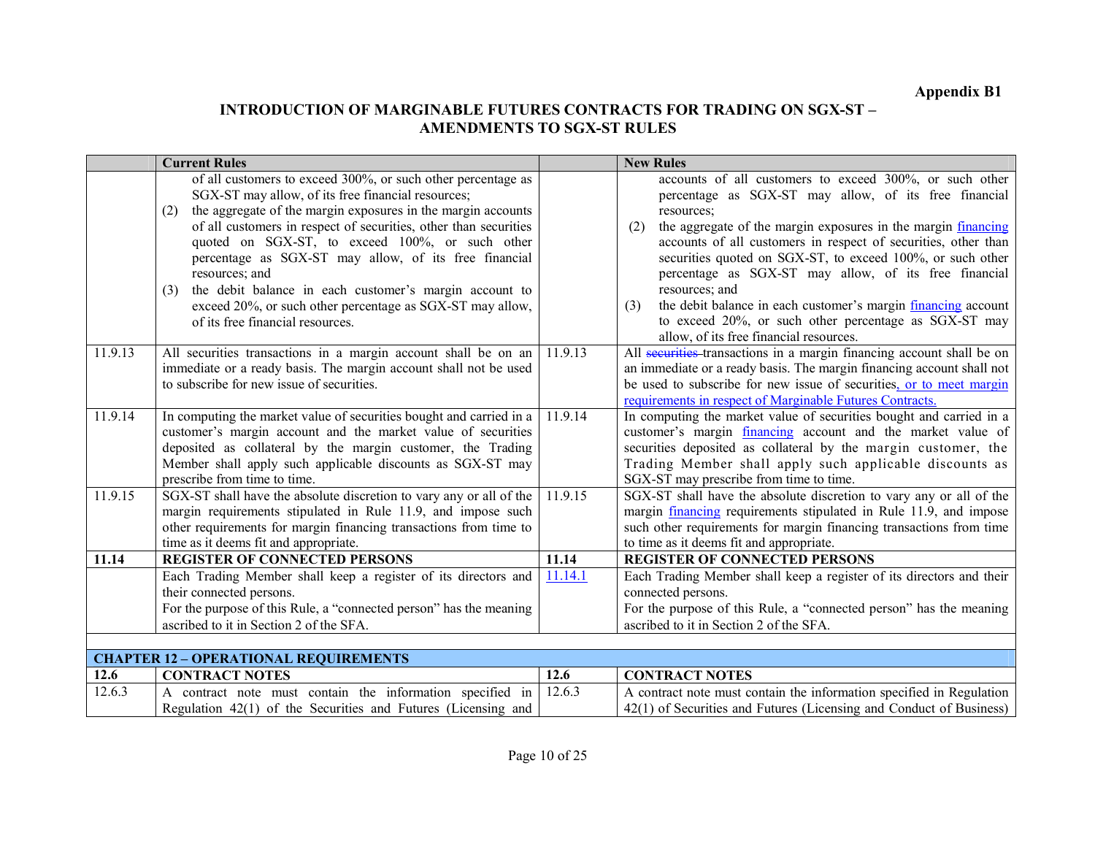|         | <b>Current Rules</b>                                                                                                                                                                                                                                                                                                                                                                                                                                                                                                                                          |         | <b>New Rules</b>                                                                                                                                                                                                                                                                                                                                                                                                                                                                                                                                                                              |
|---------|---------------------------------------------------------------------------------------------------------------------------------------------------------------------------------------------------------------------------------------------------------------------------------------------------------------------------------------------------------------------------------------------------------------------------------------------------------------------------------------------------------------------------------------------------------------|---------|-----------------------------------------------------------------------------------------------------------------------------------------------------------------------------------------------------------------------------------------------------------------------------------------------------------------------------------------------------------------------------------------------------------------------------------------------------------------------------------------------------------------------------------------------------------------------------------------------|
|         | of all customers to exceed 300%, or such other percentage as<br>SGX-ST may allow, of its free financial resources;<br>the aggregate of the margin exposures in the margin accounts<br>(2)<br>of all customers in respect of securities, other than securities<br>quoted on SGX-ST, to exceed 100%, or such other<br>percentage as SGX-ST may allow, of its free financial<br>resources; and<br>the debit balance in each customer's margin account to<br>(3)<br>exceed 20%, or such other percentage as SGX-ST may allow,<br>of its free financial resources. |         | accounts of all customers to exceed 300%, or such other<br>percentage as SGX-ST may allow, of its free financial<br>resources;<br>the aggregate of the margin exposures in the margin financing<br>(2)<br>accounts of all customers in respect of securities, other than<br>securities quoted on SGX-ST, to exceed 100%, or such other<br>percentage as SGX-ST may allow, of its free financial<br>resources; and<br>the debit balance in each customer's margin financing account<br>(3)<br>to exceed 20%, or such other percentage as SGX-ST may<br>allow, of its free financial resources. |
| 11.9.13 | All securities transactions in a margin account shall be on an<br>immediate or a ready basis. The margin account shall not be used<br>to subscribe for new issue of securities.                                                                                                                                                                                                                                                                                                                                                                               | 11.9.13 | All securities transactions in a margin financing account shall be on<br>an immediate or a ready basis. The margin financing account shall not<br>be used to subscribe for new issue of securities, or to meet margin<br>requirements in respect of Marginable Futures Contracts.                                                                                                                                                                                                                                                                                                             |
| 11.9.14 | In computing the market value of securities bought and carried in a<br>customer's margin account and the market value of securities<br>deposited as collateral by the margin customer, the Trading<br>Member shall apply such applicable discounts as SGX-ST may<br>prescribe from time to time.                                                                                                                                                                                                                                                              | 11.9.14 | In computing the market value of securities bought and carried in a<br>customer's margin <i>financing</i> account and the market value of<br>securities deposited as collateral by the margin customer, the<br>Trading Member shall apply such applicable discounts as<br>SGX-ST may prescribe from time to time.                                                                                                                                                                                                                                                                             |
| 11.9.15 | SGX-ST shall have the absolute discretion to vary any or all of the<br>margin requirements stipulated in Rule 11.9, and impose such<br>other requirements for margin financing transactions from time to<br>time as it deems fit and appropriate.                                                                                                                                                                                                                                                                                                             | 11.9.15 | SGX-ST shall have the absolute discretion to vary any or all of the<br>margin financing requirements stipulated in Rule 11.9, and impose<br>such other requirements for margin financing transactions from time<br>to time as it deems fit and appropriate.                                                                                                                                                                                                                                                                                                                                   |
| 11.14   | <b>REGISTER OF CONNECTED PERSONS</b>                                                                                                                                                                                                                                                                                                                                                                                                                                                                                                                          | 11.14   | <b>REGISTER OF CONNECTED PERSONS</b>                                                                                                                                                                                                                                                                                                                                                                                                                                                                                                                                                          |
|         | Each Trading Member shall keep a register of its directors and<br>their connected persons.<br>For the purpose of this Rule, a "connected person" has the meaning<br>ascribed to it in Section 2 of the SFA.                                                                                                                                                                                                                                                                                                                                                   | 11.14.1 | Each Trading Member shall keep a register of its directors and their<br>connected persons.<br>For the purpose of this Rule, a "connected person" has the meaning<br>ascribed to it in Section 2 of the SFA.                                                                                                                                                                                                                                                                                                                                                                                   |
|         |                                                                                                                                                                                                                                                                                                                                                                                                                                                                                                                                                               |         |                                                                                                                                                                                                                                                                                                                                                                                                                                                                                                                                                                                               |
|         | <b>CHAPTER 12 - OPERATIONAL REQUIREMENTS</b>                                                                                                                                                                                                                                                                                                                                                                                                                                                                                                                  |         |                                                                                                                                                                                                                                                                                                                                                                                                                                                                                                                                                                                               |
| 12.6    | <b>CONTRACT NOTES</b>                                                                                                                                                                                                                                                                                                                                                                                                                                                                                                                                         | 12.6    | <b>CONTRACT NOTES</b>                                                                                                                                                                                                                                                                                                                                                                                                                                                                                                                                                                         |
| 12.6.3  | A contract note must contain the information specified in<br>Regulation 42(1) of the Securities and Futures (Licensing and                                                                                                                                                                                                                                                                                                                                                                                                                                    | 12.6.3  | A contract note must contain the information specified in Regulation<br>42(1) of Securities and Futures (Licensing and Conduct of Business)                                                                                                                                                                                                                                                                                                                                                                                                                                                   |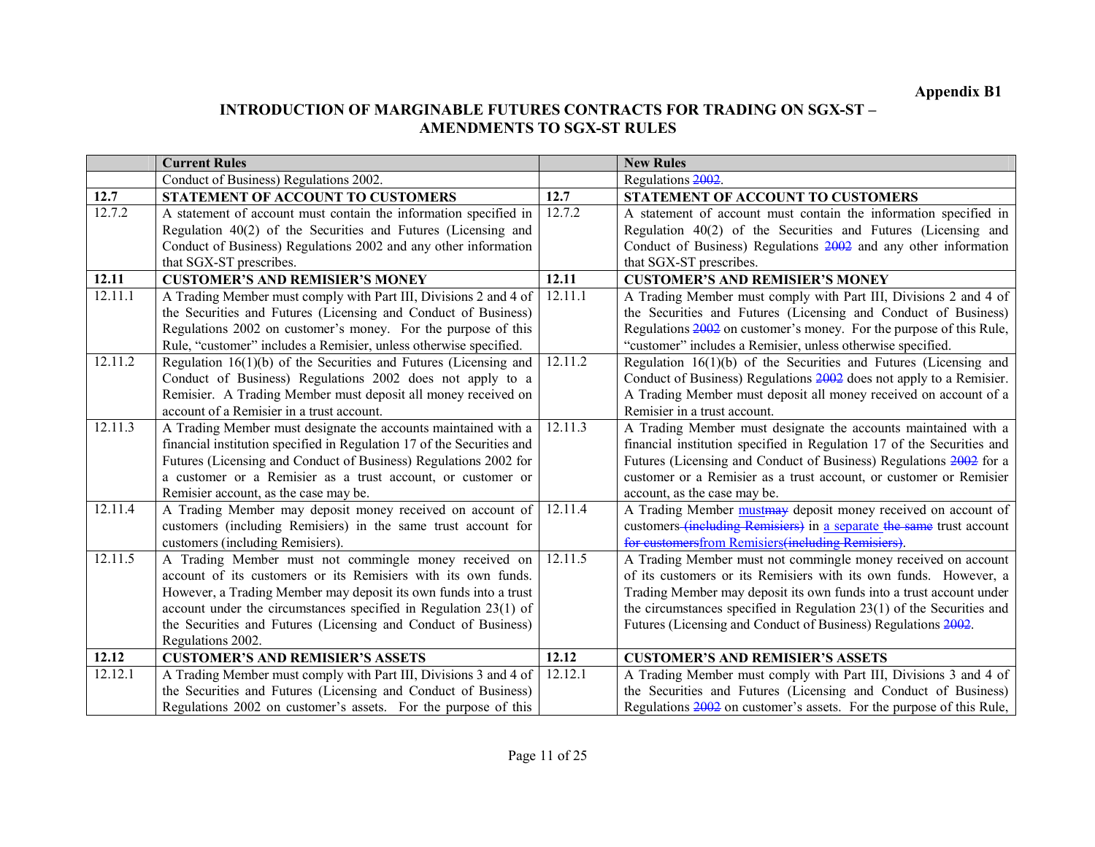|         | <b>Current Rules</b>                                                   |         | <b>New Rules</b>                                                        |
|---------|------------------------------------------------------------------------|---------|-------------------------------------------------------------------------|
|         | Conduct of Business) Regulations 2002.                                 |         | Regulations 2002.                                                       |
| 12.7    | STATEMENT OF ACCOUNT TO CUSTOMERS                                      | 12.7    | STATEMENT OF ACCOUNT TO CUSTOMERS                                       |
| 12.7.2  | A statement of account must contain the information specified in       | 12.7.2  | A statement of account must contain the information specified in        |
|         | Regulation 40(2) of the Securities and Futures (Licensing and          |         | Regulation 40(2) of the Securities and Futures (Licensing and           |
|         | Conduct of Business) Regulations 2002 and any other information        |         | Conduct of Business) Regulations 2002 and any other information         |
|         | that SGX-ST prescribes.                                                |         | that SGX-ST prescribes.                                                 |
| 12.11   | <b>CUSTOMER'S AND REMISIER'S MONEY</b>                                 | 12.11   | <b>CUSTOMER'S AND REMISIER'S MONEY</b>                                  |
| 12.11.1 | A Trading Member must comply with Part III, Divisions 2 and 4 of       | 12.11.1 | A Trading Member must comply with Part III, Divisions 2 and 4 of        |
|         | the Securities and Futures (Licensing and Conduct of Business)         |         | the Securities and Futures (Licensing and Conduct of Business)          |
|         | Regulations 2002 on customer's money. For the purpose of this          |         | Regulations 2002 on customer's money. For the purpose of this Rule,     |
|         | Rule, "customer" includes a Remisier, unless otherwise specified.      |         | "customer" includes a Remisier, unless otherwise specified.             |
| 12.11.2 | Regulation $16(1)(b)$ of the Securities and Futures (Licensing and     | 12.11.2 | Regulation $16(1)(b)$ of the Securities and Futures (Licensing and      |
|         | Conduct of Business) Regulations 2002 does not apply to a              |         | Conduct of Business) Regulations 2002 does not apply to a Remisier.     |
|         | Remisier. A Trading Member must deposit all money received on          |         | A Trading Member must deposit all money received on account of a        |
|         | account of a Remisier in a trust account.                              |         | Remisier in a trust account.                                            |
| 12.11.3 | A Trading Member must designate the accounts maintained with a         | 12.11.3 | A Trading Member must designate the accounts maintained with a          |
|         | financial institution specified in Regulation 17 of the Securities and |         | financial institution specified in Regulation 17 of the Securities and  |
|         | Futures (Licensing and Conduct of Business) Regulations 2002 for       |         | Futures (Licensing and Conduct of Business) Regulations 2002 for a      |
|         | a customer or a Remisier as a trust account, or customer or            |         | customer or a Remisier as a trust account, or customer or Remisier      |
|         | Remisier account, as the case may be.                                  |         | account, as the case may be.                                            |
| 12.11.4 | A Trading Member may deposit money received on account of              | 12.11.4 | A Trading Member must may deposit money received on account of          |
|         | customers (including Remisiers) in the same trust account for          |         | customers (including Remisiers) in a separate the same trust account    |
|         | customers (including Remisiers).                                       |         | for customersfrom Remisiers(including Remisiers).                       |
| 12.11.5 | A Trading Member must not commingle money received on                  | 12.11.5 | A Trading Member must not commingle money received on account           |
|         | account of its customers or its Remisiers with its own funds.          |         | of its customers or its Remisiers with its own funds. However, a        |
|         | However, a Trading Member may deposit its own funds into a trust       |         | Trading Member may deposit its own funds into a trust account under     |
|         | account under the circumstances specified in Regulation $23(1)$ of     |         | the circumstances specified in Regulation $23(1)$ of the Securities and |
|         | the Securities and Futures (Licensing and Conduct of Business)         |         | Futures (Licensing and Conduct of Business) Regulations 2002.           |
|         | Regulations 2002.                                                      |         |                                                                         |
| 12.12   | <b>CUSTOMER'S AND REMISIER'S ASSETS</b>                                | 12.12   | <b>CUSTOMER'S AND REMISIER'S ASSETS</b>                                 |
| 12.12.1 | A Trading Member must comply with Part III, Divisions 3 and 4 of       | 12.12.1 | A Trading Member must comply with Part III, Divisions 3 and 4 of        |
|         | the Securities and Futures (Licensing and Conduct of Business)         |         | the Securities and Futures (Licensing and Conduct of Business)          |
|         | Regulations 2002 on customer's assets. For the purpose of this         |         | Regulations 2002 on customer's assets. For the purpose of this Rule,    |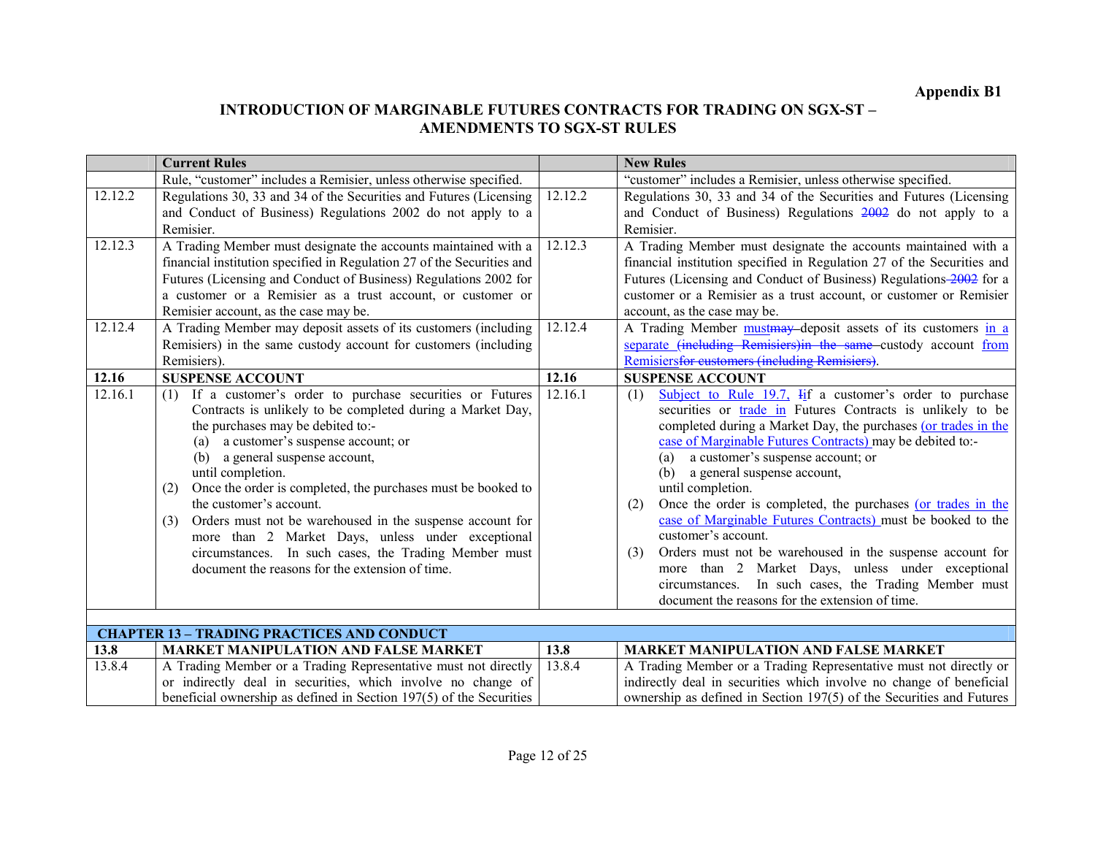|         | <b>Current Rules</b>                                                   |         | <b>New Rules</b>                                                         |
|---------|------------------------------------------------------------------------|---------|--------------------------------------------------------------------------|
|         | Rule, "customer" includes a Remisier, unless otherwise specified.      |         | "customer" includes a Remisier, unless otherwise specified.              |
| 12.12.2 | Regulations 30, 33 and 34 of the Securities and Futures (Licensing     | 12.12.2 | Regulations 30, 33 and 34 of the Securities and Futures (Licensing       |
|         | and Conduct of Business) Regulations 2002 do not apply to a            |         | and Conduct of Business) Regulations 2002 do not apply to a              |
|         | Remisier.                                                              |         | Remisier.                                                                |
| 12.12.3 | A Trading Member must designate the accounts maintained with a         | 12.12.3 | A Trading Member must designate the accounts maintained with a           |
|         | financial institution specified in Regulation 27 of the Securities and |         | financial institution specified in Regulation 27 of the Securities and   |
|         | Futures (Licensing and Conduct of Business) Regulations 2002 for       |         | Futures (Licensing and Conduct of Business) Regulations-2002 for a       |
|         | a customer or a Remisier as a trust account, or customer or            |         | customer or a Remisier as a trust account, or customer or Remisier       |
|         | Remisier account, as the case may be.                                  |         | account, as the case may be.                                             |
| 12.12.4 | A Trading Member may deposit assets of its customers (including        | 12.12.4 | A Trading Member must may deposit assets of its customers in a           |
|         | Remisiers) in the same custody account for customers (including        |         | separate (including Remisiers) in the same custody account from          |
|         | Remisiers).                                                            |         | Remisiersfor eustomers (including Remisiers).                            |
| 12.16   | <b>SUSPENSE ACCOUNT</b>                                                | 12.16   | <b>SUSPENSE ACCOUNT</b>                                                  |
| 12.16.1 | If a customer's order to purchase securities or Futures<br>(1)         | 12.16.1 | Subject to Rule 19.7, $\text{Hif}$ a customer's order to purchase<br>(1) |
|         | Contracts is unlikely to be completed during a Market Day,             |         | securities or <b>trade</b> in Futures Contracts is unlikely to be        |
|         | the purchases may be debited to:-                                      |         | completed during a Market Day, the purchases (or trades in the           |
|         | a customer's suspense account; or<br>(a)                               |         | case of Marginable Futures Contracts) may be debited to:-                |
|         | a general suspense account,<br>(b)                                     |         | a customer's suspense account; or<br>(a)                                 |
|         | until completion.                                                      |         | a general suspense account,<br>(b)                                       |
|         | Once the order is completed, the purchases must be booked to<br>(2)    |         | until completion.                                                        |
|         | the customer's account.                                                |         | Once the order is completed, the purchases (or trades in the<br>(2)      |
|         | Orders must not be warehoused in the suspense account for<br>(3)       |         | case of Marginable Futures Contracts) must be booked to the              |
|         | more than 2 Market Days, unless under exceptional                      |         | customer's account.                                                      |
|         | circumstances. In such cases, the Trading Member must                  |         | Orders must not be warehoused in the suspense account for<br>(3)         |
|         | document the reasons for the extension of time.                        |         | Market Days, unless under exceptional<br>more than 2                     |
|         |                                                                        |         | In such cases, the Trading Member must<br>circumstances.                 |
|         |                                                                        |         | document the reasons for the extension of time.                          |
|         | <b>CHAPTER 13 - TRADING PRACTICES AND CONDUCT</b>                      |         |                                                                          |

|        | Chin Ten IV – INDER FINICITO DE HUD CONDUCT                                 |      |                                                                      |  |  |
|--------|-----------------------------------------------------------------------------|------|----------------------------------------------------------------------|--|--|
| 13.8   | <b>MARKET MANIPULATION AND FALSE MARKET</b>                                 | 13.8 | <b>MARKET MANIPULATION AND FALSE MARKET</b>                          |  |  |
| 13.8.4 | A Trading Member or a Trading Representative must not directly   13.8.4     |      | A Trading Member or a Trading Representative must not directly or    |  |  |
|        | or indirectly deal in securities, which involve no change of                |      | indirectly deal in securities which involve no change of beneficial  |  |  |
|        | beneficial ownership as defined in Section 197(5) of the Securities $\vert$ |      | ownership as defined in Section 197(5) of the Securities and Futures |  |  |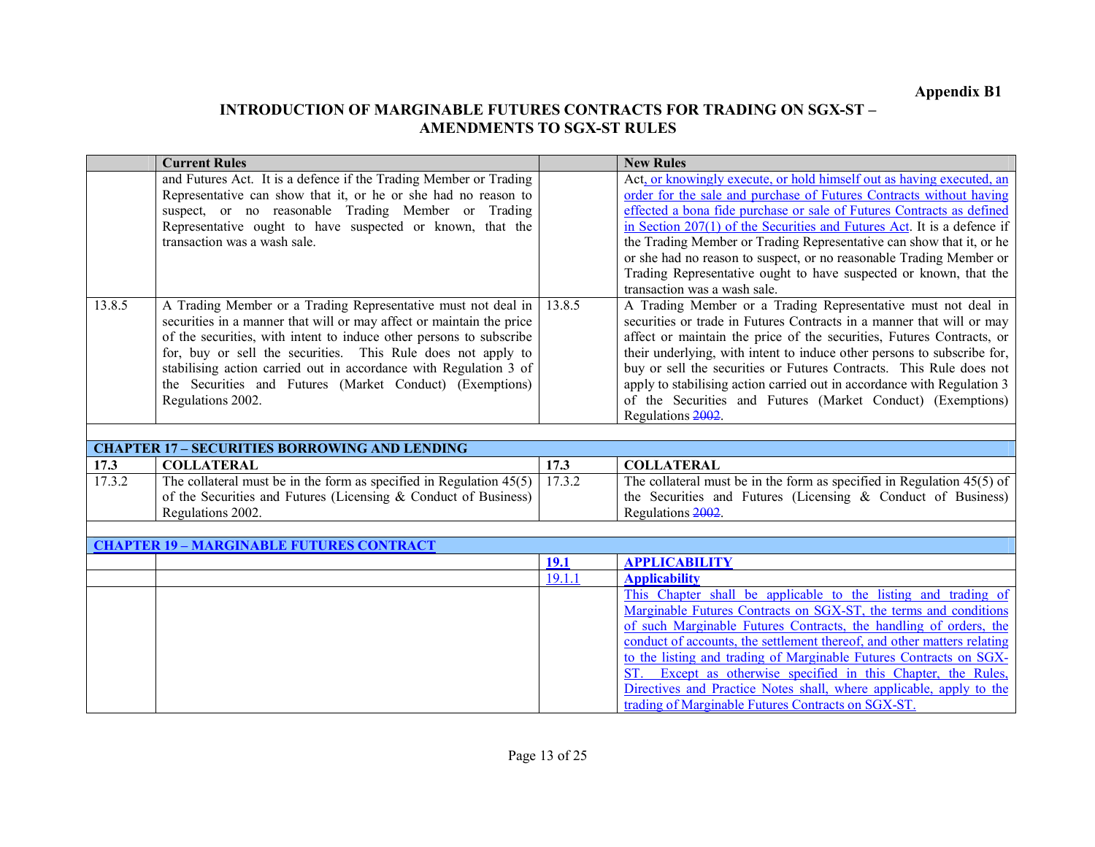|        | <b>Current Rules</b>                                                                                                  |             | <b>New Rules</b>                                                                                                                             |
|--------|-----------------------------------------------------------------------------------------------------------------------|-------------|----------------------------------------------------------------------------------------------------------------------------------------------|
|        | and Futures Act. It is a defence if the Trading Member or Trading                                                     |             | Act, or knowingly execute, or hold himself out as having executed, an                                                                        |
|        | Representative can show that it, or he or she had no reason to<br>suspect, or no reasonable Trading Member or Trading |             | order for the sale and purchase of Futures Contracts without having<br>effected a bona fide purchase or sale of Futures Contracts as defined |
|        | Representative ought to have suspected or known, that the                                                             |             | in Section $207(1)$ of the Securities and Futures Act. It is a defence if                                                                    |
|        | transaction was a wash sale.                                                                                          |             | the Trading Member or Trading Representative can show that it, or he                                                                         |
|        |                                                                                                                       |             | or she had no reason to suspect, or no reasonable Trading Member or                                                                          |
|        |                                                                                                                       |             | Trading Representative ought to have suspected or known, that the                                                                            |
|        |                                                                                                                       |             | transaction was a wash sale.                                                                                                                 |
| 13.8.5 | A Trading Member or a Trading Representative must not deal in                                                         | 13.8.5      | A Trading Member or a Trading Representative must not deal in                                                                                |
|        | securities in a manner that will or may affect or maintain the price                                                  |             | securities or trade in Futures Contracts in a manner that will or may                                                                        |
|        | of the securities, with intent to induce other persons to subscribe                                                   |             | affect or maintain the price of the securities, Futures Contracts, or                                                                        |
|        | for, buy or sell the securities. This Rule does not apply to                                                          |             | their underlying, with intent to induce other persons to subscribe for,                                                                      |
|        | stabilising action carried out in accordance with Regulation 3 of                                                     |             | buy or sell the securities or Futures Contracts. This Rule does not                                                                          |
|        | the Securities and Futures (Market Conduct) (Exemptions)<br>Regulations 2002.                                         |             | apply to stabilising action carried out in accordance with Regulation 3<br>of the Securities and Futures (Market Conduct) (Exemptions)       |
|        |                                                                                                                       |             | Regulations 2002.                                                                                                                            |
|        |                                                                                                                       |             |                                                                                                                                              |
|        | <b>CHAPTER 17 - SECURITIES BORROWING AND LENDING</b>                                                                  |             |                                                                                                                                              |
| 17.3   | <b>COLLATERAL</b>                                                                                                     | 17.3        | <b>COLLATERAL</b>                                                                                                                            |
| 17.3.2 | The collateral must be in the form as specified in Regulation $45(5)$                                                 | 17.3.2      | The collateral must be in the form as specified in Regulation $45(5)$ of                                                                     |
|        | of the Securities and Futures (Licensing & Conduct of Business)                                                       |             | the Securities and Futures (Licensing $\&$ Conduct of Business)                                                                              |
|        | Regulations 2002.                                                                                                     |             | Regulations 2002.                                                                                                                            |
|        | <b>CHAPTER 19 - MARGINABLE FUTURES CONTRACT</b>                                                                       |             |                                                                                                                                              |
|        |                                                                                                                       | <b>19.1</b> | <b>APPLICABILITY</b>                                                                                                                         |
|        |                                                                                                                       |             |                                                                                                                                              |
|        |                                                                                                                       | 19.1.1      | <b>Applicability</b>                                                                                                                         |
|        |                                                                                                                       |             | This Chapter shall be applicable to the listing and trading of                                                                               |
|        |                                                                                                                       |             | Marginable Futures Contracts on SGX-ST, the terms and conditions                                                                             |
|        |                                                                                                                       |             | of such Marginable Futures Contracts, the handling of orders, the                                                                            |
|        |                                                                                                                       |             | conduct of accounts, the settlement thereof, and other matters relating                                                                      |
|        |                                                                                                                       |             | to the listing and trading of Marginable Futures Contracts on SGX-                                                                           |
|        |                                                                                                                       |             | ST. Except as otherwise specified in this Chapter, the Rules,                                                                                |
|        |                                                                                                                       |             | Directives and Practice Notes shall, where applicable, apply to the<br>trading of Marginable Futures Contracts on SGX-ST.                    |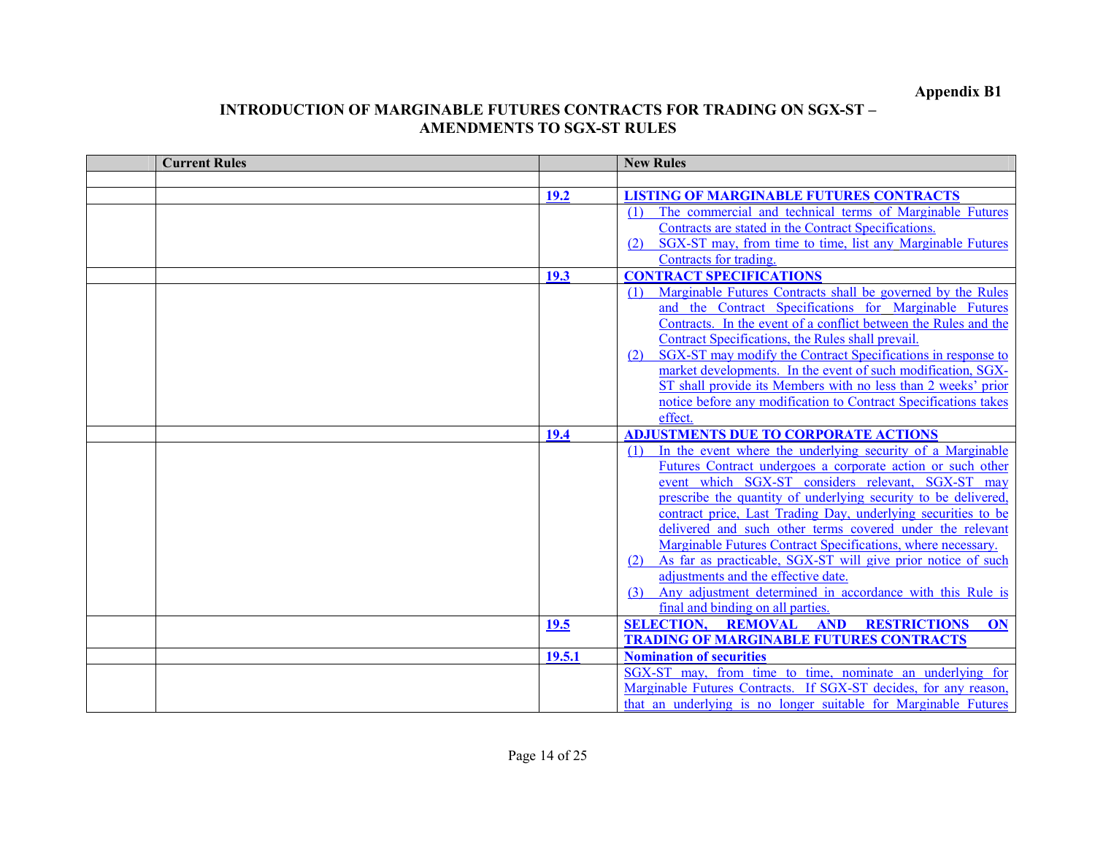| <b>Current Rules</b> |             | <b>New Rules</b>                                                    |
|----------------------|-------------|---------------------------------------------------------------------|
|                      |             |                                                                     |
|                      | 19.2        | <b>LISTING OF MARGINABLE FUTURES CONTRACTS</b>                      |
|                      |             | The commercial and technical terms of Marginable Futures            |
|                      |             | Contracts are stated in the Contract Specifications.                |
|                      |             | SGX-ST may, from time to time, list any Marginable Futures          |
|                      |             | Contracts for trading                                               |
|                      | <b>19.3</b> | <b>CONTRACT SPECIFICATIONS</b>                                      |
|                      |             | Marginable Futures Contracts shall be governed by the Rules         |
|                      |             | and the Contract Specifications for Marginable Futures              |
|                      |             | Contracts. In the event of a conflict between the Rules and the     |
|                      |             | Contract Specifications, the Rules shall prevail.                   |
|                      |             | SGX-ST may modify the Contract Specifications in response to        |
|                      |             | market developments. In the event of such modification, SGX-        |
|                      |             | ST shall provide its Members with no less than 2 weeks' prior       |
|                      |             | notice before any modification to Contract Specifications takes     |
|                      |             | effect.                                                             |
|                      | 19.4        | <b>ADJUSTMENTS DUE TO CORPORATE ACTIONS</b>                         |
|                      |             | In the event where the underlying security of a Marginable<br>(1)   |
|                      |             | Futures Contract undergoes a corporate action or such other         |
|                      |             | event which SGX-ST considers relevant, SGX-ST may                   |
|                      |             | prescribe the quantity of underlying security to be delivered,      |
|                      |             | contract price, Last Trading Day, underlying securities to be       |
|                      |             | delivered and such other terms covered under the relevant           |
|                      |             | Marginable Futures Contract Specifications, where necessary.        |
|                      |             | As far as practicable, SGX-ST will give prior notice of such<br>(2) |
|                      |             | adjustments and the effective date.                                 |
|                      |             | Any adjustment determined in accordance with this Rule is<br>(3)    |
|                      |             | final and binding on all parties.                                   |
|                      | <b>19.5</b> | <b>SELECTION, REMOVAL AND</b><br><b>RESTRICTIONS</b><br>ON          |
|                      |             | <b>TRADING OF MARGINABLE FUTURES CONTRACTS</b>                      |
|                      | 19.5.1      | <b>Nomination of securities</b>                                     |
|                      |             | SGX-ST may, from time to time, nominate an underlying for           |
|                      |             | Marginable Futures Contracts. If SGX-ST decides, for any reason,    |
|                      |             | that an underlying is no longer suitable for Marginable Futures     |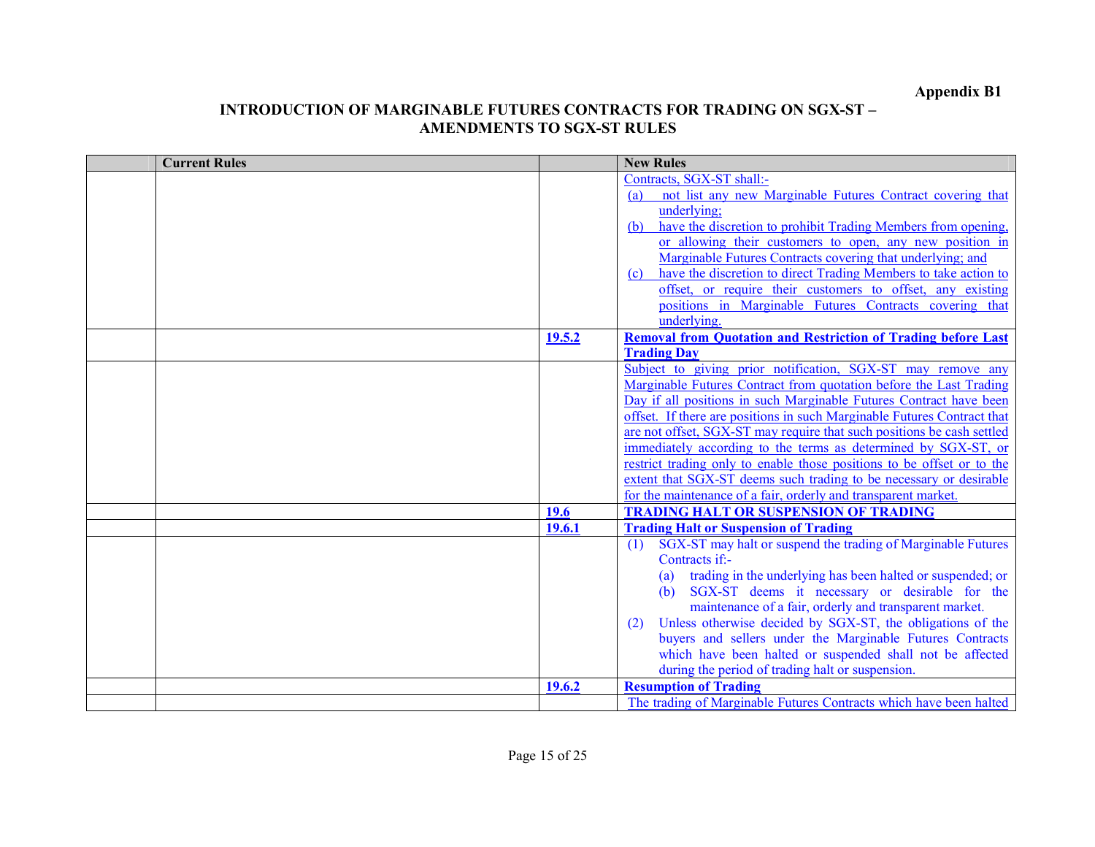| <b>Current Rules</b> |               | <b>New Rules</b>                                                                                                                         |
|----------------------|---------------|------------------------------------------------------------------------------------------------------------------------------------------|
|                      |               | Contracts, SGX-ST shall:-                                                                                                                |
|                      |               | not list any new Marginable Futures Contract covering that<br>(a)                                                                        |
|                      |               | underlying;                                                                                                                              |
|                      |               | have the discretion to prohibit Trading Members from opening,<br>(b)                                                                     |
|                      |               | or allowing their customers to open, any new position in                                                                                 |
|                      |               | Marginable Futures Contracts covering that underlying; and                                                                               |
|                      |               | have the discretion to direct Trading Members to take action to<br>(c)                                                                   |
|                      |               | offset, or require their customers to offset, any existing                                                                               |
|                      |               | positions in Marginable Futures Contracts covering that                                                                                  |
|                      |               | underlying.                                                                                                                              |
|                      | 19.5.2        | <b>Removal from Quotation and Restriction of Trading before Last</b>                                                                     |
|                      |               | <b>Trading Day</b>                                                                                                                       |
|                      |               | Subject to giving prior notification, SGX-ST may remove any                                                                              |
|                      |               | Marginable Futures Contract from quotation before the Last Trading<br>Day if all positions in such Marginable Futures Contract have been |
|                      |               | offset. If there are positions in such Marginable Futures Contract that                                                                  |
|                      |               | are not offset, SGX-ST may require that such positions be cash settled                                                                   |
|                      |               | immediately according to the terms as determined by SGX-ST, or                                                                           |
|                      |               | restrict trading only to enable those positions to be offset or to the                                                                   |
|                      |               | extent that SGX-ST deems such trading to be necessary or desirable                                                                       |
|                      |               | for the maintenance of a fair, orderly and transparent market.                                                                           |
|                      | 19.6          | <b>TRADING HALT OR SUSPENSION OF TRADING</b>                                                                                             |
|                      | <b>19.6.1</b> | <b>Trading Halt or Suspension of Trading</b>                                                                                             |
|                      |               | SGX-ST may halt or suspend the trading of Marginable Futures<br>(1)                                                                      |
|                      |               | Contracts if:-                                                                                                                           |
|                      |               | trading in the underlying has been halted or suspended; or<br>(a)                                                                        |
|                      |               | SGX-ST deems it necessary or desirable for the<br>(h)                                                                                    |
|                      |               | maintenance of a fair, orderly and transparent market.                                                                                   |
|                      |               | Unless otherwise decided by SGX-ST, the obligations of the<br>(2)                                                                        |
|                      |               | buyers and sellers under the Marginable Futures Contracts                                                                                |
|                      |               | which have been halted or suspended shall not be affected                                                                                |
|                      |               | during the period of trading halt or suspension.                                                                                         |
|                      | 19.6.2        | <b>Resumption of Trading</b>                                                                                                             |
|                      |               | The trading of Marginable Futures Contracts which have been halted                                                                       |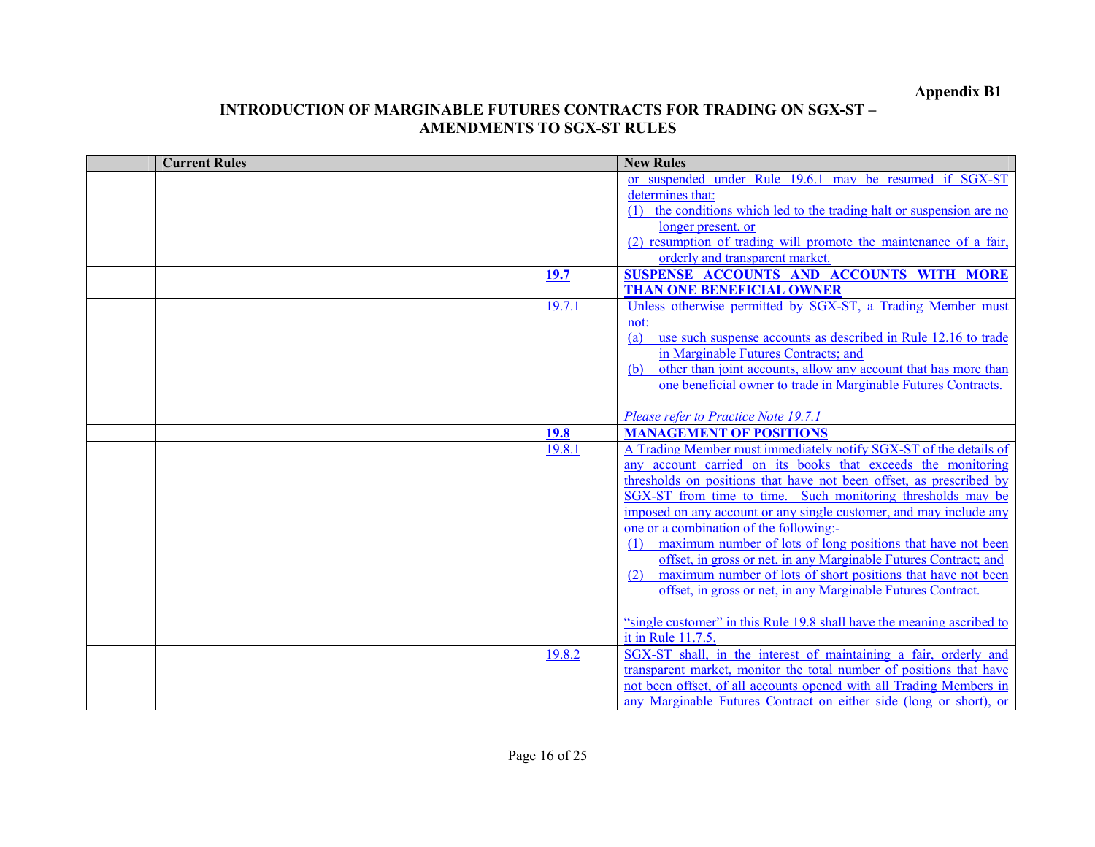| <b>Current Rules</b> |             | <b>New Rules</b>                                                       |
|----------------------|-------------|------------------------------------------------------------------------|
|                      |             | or suspended under Rule 19.6.1 may be resumed if SGX-ST                |
|                      |             | determines that:                                                       |
|                      |             | (1) the conditions which led to the trading halt or suspension are no  |
|                      |             | longer present, or                                                     |
|                      |             | (2) resumption of trading will promote the maintenance of a fair,      |
|                      |             | orderly and transparent market.                                        |
|                      | <b>19.7</b> | SUSPENSE ACCOUNTS AND ACCOUNTS WITH MORE                               |
|                      |             | <b>THAN ONE BENEFICIAL OWNER</b>                                       |
|                      | 19.7.1      | Unless otherwise permitted by SGX-ST, a Trading Member must            |
|                      |             | not:                                                                   |
|                      |             | use such suspense accounts as described in Rule 12.16 to trade<br>(a)  |
|                      |             | in Marginable Futures Contracts; and                                   |
|                      |             | other than joint accounts, allow any account that has more than<br>(b) |
|                      |             | one beneficial owner to trade in Marginable Futures Contracts.         |
|                      |             |                                                                        |
|                      |             | Please refer to Practice Note 19.7.1                                   |
|                      | 19.8        | <b>MANAGEMENT OF POSITIONS</b>                                         |
|                      | 19.8.1      | A Trading Member must immediately notify SGX-ST of the details of      |
|                      |             | any account carried on its books that exceeds the monitoring           |
|                      |             | thresholds on positions that have not been offset, as prescribed by    |
|                      |             | SGX-ST from time to time. Such monitoring thresholds may be            |
|                      |             | imposed on any account or any single customer, and may include any     |
|                      |             | one or a combination of the following:-                                |
|                      |             | maximum number of lots of long positions that have not been            |
|                      |             | offset, in gross or net, in any Marginable Futures Contract; and       |
|                      |             | maximum number of lots of short positions that have not been<br>(2)    |
|                      |             | offset, in gross or net, in any Marginable Futures Contract.           |
|                      |             |                                                                        |
|                      |             | "single customer" in this Rule 19.8 shall have the meaning ascribed to |
|                      |             | it in Rule 11.7.5.                                                     |
|                      | 19.8.2      | SGX-ST shall, in the interest of maintaining a fair, orderly and       |
|                      |             | transparent market, monitor the total number of positions that have    |
|                      |             | not been offset, of all accounts opened with all Trading Members in    |
|                      |             | any Marginable Futures Contract on either side (long or short), or     |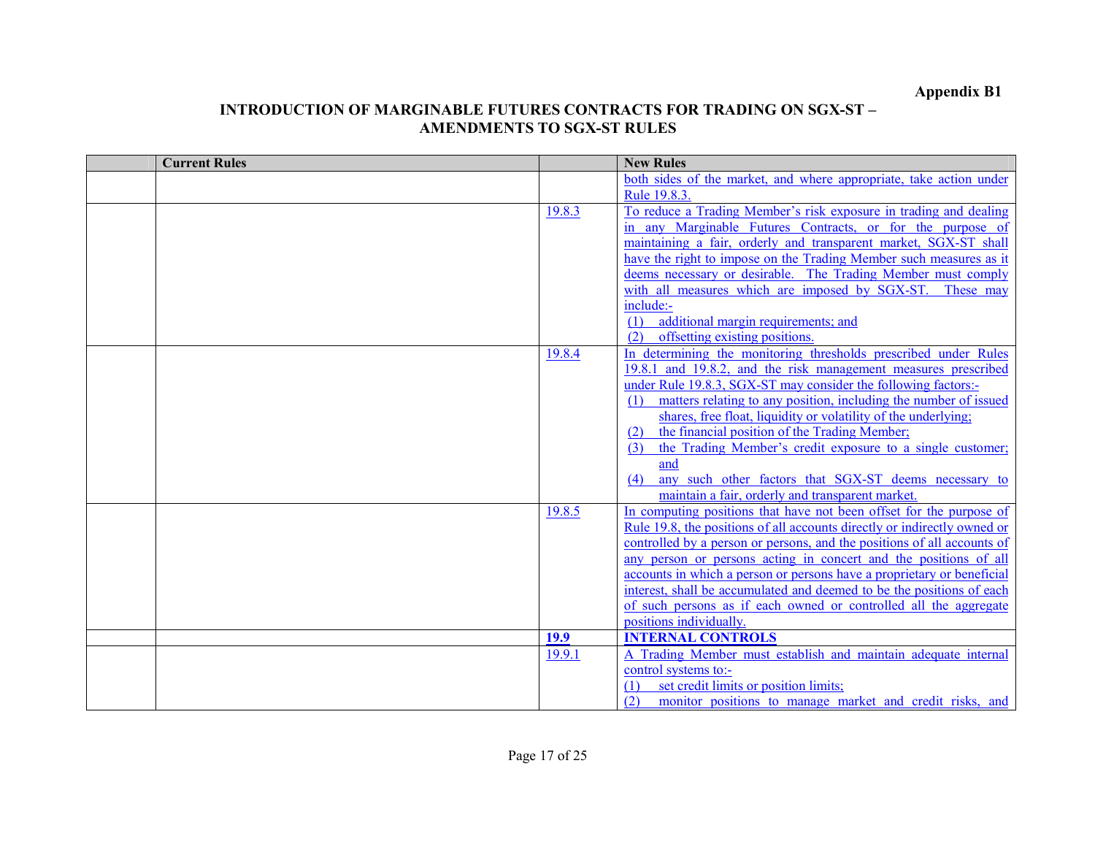| <b>Current Rules</b> |        | <b>New Rules</b>                                                         |
|----------------------|--------|--------------------------------------------------------------------------|
|                      |        | both sides of the market, and where appropriate, take action under       |
|                      |        | Rule 19.8.3.                                                             |
|                      | 19.8.3 | To reduce a Trading Member's risk exposure in trading and dealing        |
|                      |        | in any Marginable Futures Contracts, or for the purpose of               |
|                      |        | maintaining a fair, orderly and transparent market, SGX-ST shall         |
|                      |        | have the right to impose on the Trading Member such measures as it       |
|                      |        | deems necessary or desirable. The Trading Member must comply             |
|                      |        | with all measures which are imposed by SGX-ST. These may                 |
|                      |        | include:-                                                                |
|                      |        | additional margin requirements; and<br>(1)                               |
|                      |        | offsetting existing positions.<br>(2)                                    |
|                      | 19.8.4 | In determining the monitoring thresholds prescribed under Rules          |
|                      |        | 19.8.1 and 19.8.2, and the risk management measures prescribed           |
|                      |        | under Rule 19.8.3, SGX-ST may consider the following factors:-           |
|                      |        | matters relating to any position, including the number of issued<br>(1)  |
|                      |        | shares, free float, liquidity or volatility of the underlying;           |
|                      |        | the financial position of the Trading Member;<br>(2)                     |
|                      |        | the Trading Member's credit exposure to a single customer;<br>(3)        |
|                      |        | and                                                                      |
|                      |        | any such other factors that SGX-ST deems necessary to<br>(4)             |
|                      |        | maintain a fair, orderly and transparent market.                         |
|                      | 19.8.5 | In computing positions that have not been offset for the purpose of      |
|                      |        | Rule 19.8, the positions of all accounts directly or indirectly owned or |
|                      |        | controlled by a person or persons, and the positions of all accounts of  |
|                      |        | any person or persons acting in concert and the positions of all         |
|                      |        | accounts in which a person or persons have a proprietary or beneficial   |
|                      |        | interest, shall be accumulated and deemed to be the positions of each    |
|                      |        | of such persons as if each owned or controlled all the aggregate         |
|                      |        | positions individually.                                                  |
|                      | 19.9   | <b>INTERNAL CONTROLS</b>                                                 |
|                      | 19.9.1 | A Trading Member must establish and maintain adequate internal           |
|                      |        | control systems to:-                                                     |
|                      |        | set credit limits or position limits;<br>(1)                             |
|                      |        | (2)<br>monitor positions to manage market and credit risks, and          |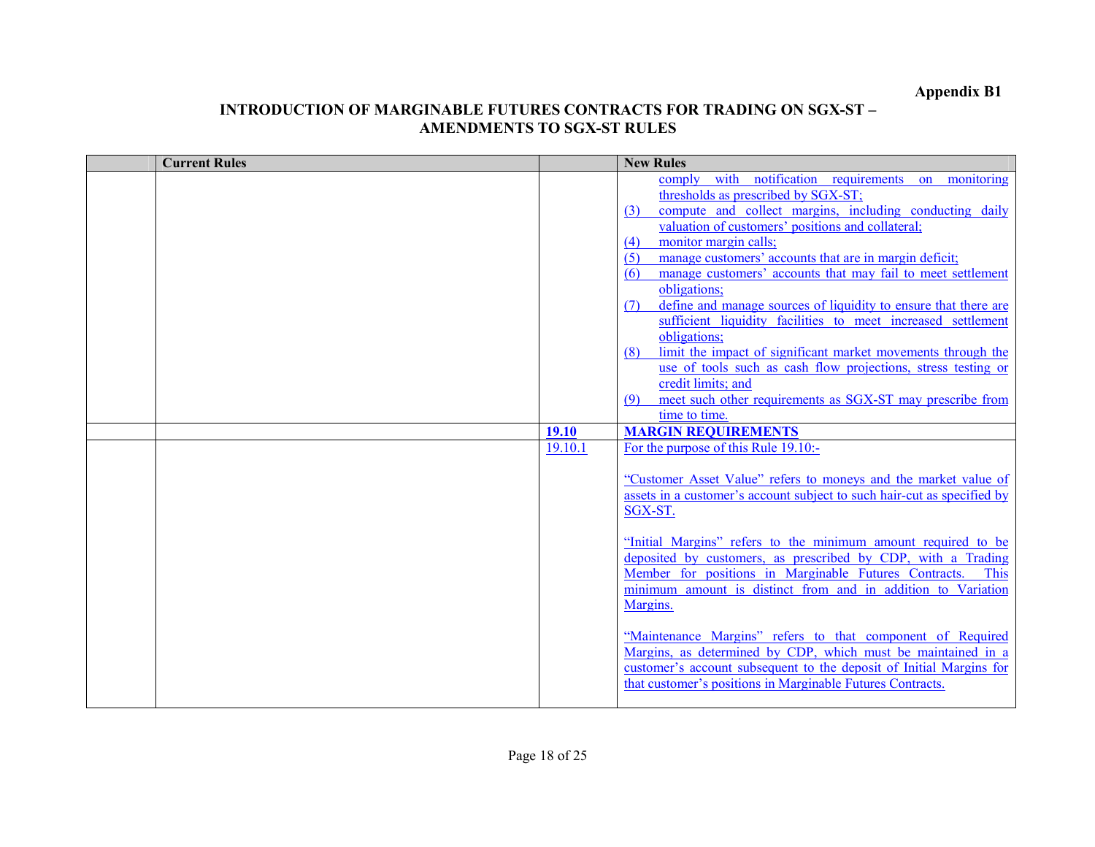| <b>Current Rules</b> |         | <b>New Rules</b>                                                        |
|----------------------|---------|-------------------------------------------------------------------------|
|                      |         | comply with notification requirements on monitoring                     |
|                      |         | thresholds as prescribed by SGX-ST;                                     |
|                      |         | compute and collect margins, including conducting daily<br>(3)          |
|                      |         | valuation of customers' positions and collateral;                       |
|                      |         | monitor margin calls;<br>(4)                                            |
|                      |         | manage customers' accounts that are in margin deficit;<br>(5)           |
|                      |         | manage customers' accounts that may fail to meet settlement<br>(6)      |
|                      |         | obligations;                                                            |
|                      |         | define and manage sources of liquidity to ensure that there are<br>(7)  |
|                      |         | sufficient liquidity facilities to meet increased settlement            |
|                      |         | obligations:                                                            |
|                      |         | limit the impact of significant market movements through the<br>(8)     |
|                      |         | use of tools such as cash flow projections, stress testing or           |
|                      |         | credit limits; and                                                      |
|                      |         | meet such other requirements as SGX-ST may prescribe from<br>(9)        |
|                      |         | time to time.                                                           |
|                      | 19.10   | <b>MARGIN REQUIREMENTS</b>                                              |
|                      | 19.10.1 | For the purpose of this Rule 19.10:-                                    |
|                      |         |                                                                         |
|                      |         | "Customer Asset Value" refers to moneys and the market value of         |
|                      |         | assets in a customer's account subject to such hair-cut as specified by |
|                      |         | SGX-ST.                                                                 |
|                      |         | "Initial Margins" refers to the minimum amount required to be           |
|                      |         | deposited by customers, as prescribed by CDP, with a Trading            |
|                      |         | Member for positions in Marginable Futures Contracts.<br><b>This</b>    |
|                      |         | minimum amount is distinct from and in addition to Variation            |
|                      |         | Margins.                                                                |
|                      |         |                                                                         |
|                      |         | "Maintenance Margins" refers to that component of Required              |
|                      |         | Margins, as determined by CDP, which must be maintained in a            |
|                      |         | customer's account subsequent to the deposit of Initial Margins for     |
|                      |         | that customer's positions in Marginable Futures Contracts.              |
|                      |         |                                                                         |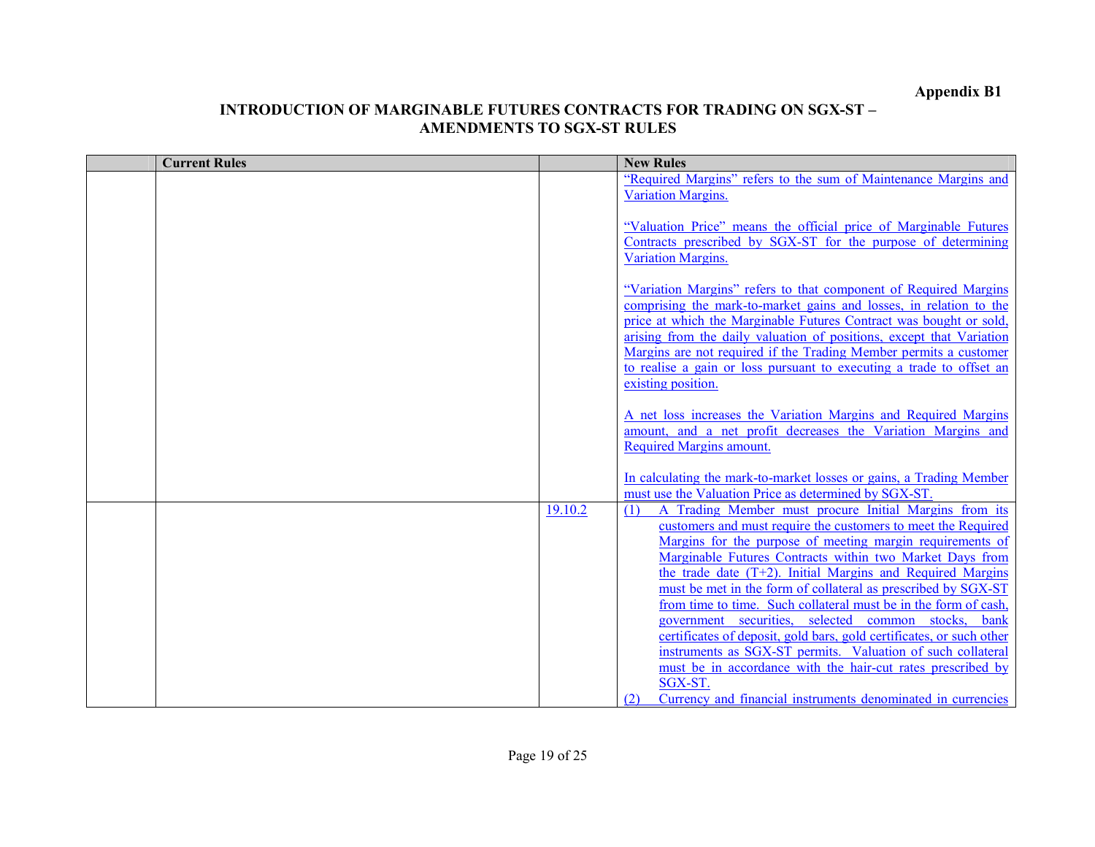| <b>Current Rules</b> |         | <b>New Rules</b>                                                                                                                           |
|----------------------|---------|--------------------------------------------------------------------------------------------------------------------------------------------|
|                      |         | "Required Margins" refers to the sum of Maintenance Margins and                                                                            |
|                      |         | <b>Variation Margins.</b>                                                                                                                  |
|                      |         |                                                                                                                                            |
|                      |         | "Valuation Price" means the official price of Marginable Futures                                                                           |
|                      |         | Contracts prescribed by SGX-ST for the purpose of determining                                                                              |
|                      |         | Variation Margins.                                                                                                                         |
|                      |         |                                                                                                                                            |
|                      |         | "Variation Margins" refers to that component of Required Margins                                                                           |
|                      |         | comprising the mark-to-market gains and losses, in relation to the                                                                         |
|                      |         | price at which the Marginable Futures Contract was bought or sold,<br>arising from the daily valuation of positions, except that Variation |
|                      |         | Margins are not required if the Trading Member permits a customer                                                                          |
|                      |         | to realise a gain or loss pursuant to executing a trade to offset an                                                                       |
|                      |         | existing position.                                                                                                                         |
|                      |         |                                                                                                                                            |
|                      |         | A net loss increases the Variation Margins and Required Margins                                                                            |
|                      |         | amount, and a net profit decreases the Variation Margins and                                                                               |
|                      |         | <b>Required Margins amount.</b>                                                                                                            |
|                      |         |                                                                                                                                            |
|                      |         | In calculating the mark-to-market losses or gains, a Trading Member                                                                        |
|                      |         | must use the Valuation Price as determined by SGX-ST.                                                                                      |
|                      | 19.10.2 | A Trading Member must procure Initial Margins from its<br>(1)                                                                              |
|                      |         | customers and must require the customers to meet the Required                                                                              |
|                      |         | Margins for the purpose of meeting margin requirements of                                                                                  |
|                      |         | Marginable Futures Contracts within two Market Days from                                                                                   |
|                      |         | the trade date (T+2). Initial Margins and Required Margins<br>must be met in the form of collateral as prescribed by SGX-ST                |
|                      |         | from time to time. Such collateral must be in the form of cash,                                                                            |
|                      |         | government securities, selected common stocks,<br><b>b</b> ank                                                                             |
|                      |         | certificates of deposit, gold bars, gold certificates, or such other                                                                       |
|                      |         | instruments as SGX-ST permits. Valuation of such collateral                                                                                |
|                      |         | must be in accordance with the hair-cut rates prescribed by                                                                                |
|                      |         | SGX-ST.                                                                                                                                    |
|                      |         | Currency and financial instruments denominated in currencies<br>(2)                                                                        |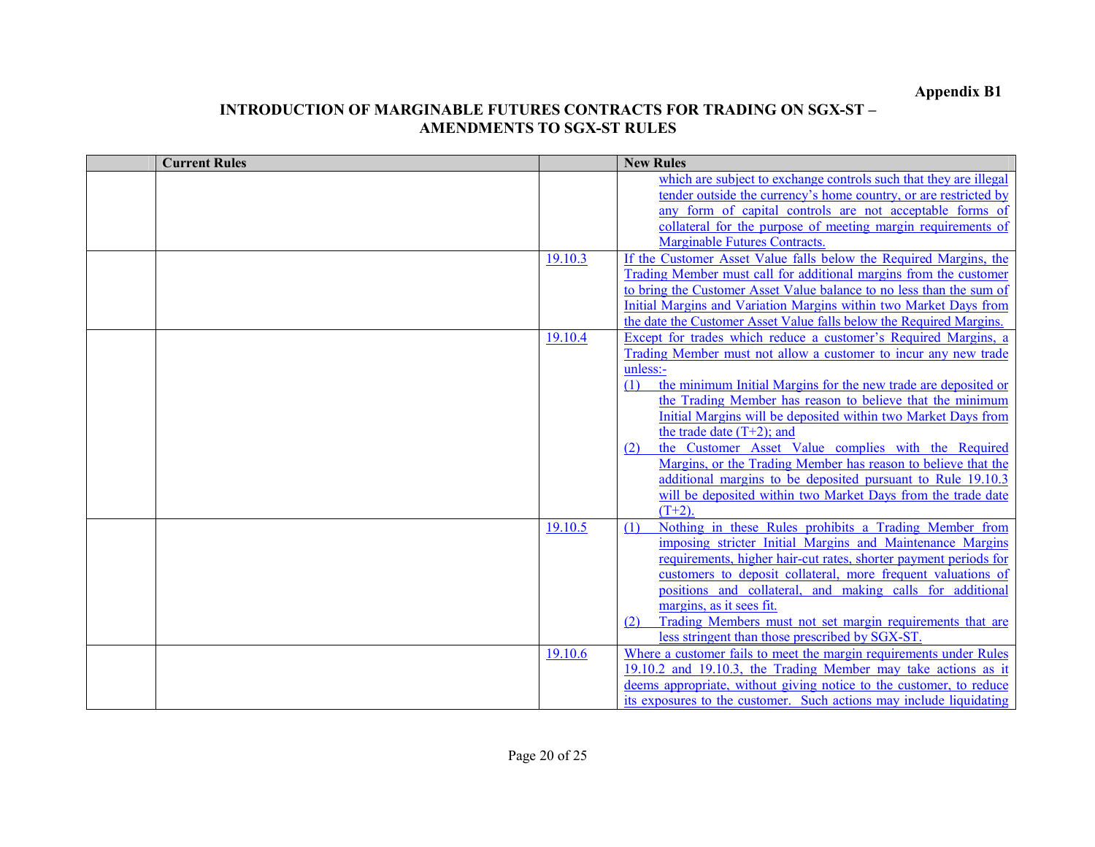| <b>Current Rules</b> |         | <b>New Rules</b>                                                                                                            |
|----------------------|---------|-----------------------------------------------------------------------------------------------------------------------------|
|                      |         | which are subject to exchange controls such that they are illegal                                                           |
|                      |         | tender outside the currency's home country, or are restricted by                                                            |
|                      |         | any form of capital controls are not acceptable forms of                                                                    |
|                      |         | collateral for the purpose of meeting margin requirements of                                                                |
|                      |         | <b>Marginable Futures Contracts.</b>                                                                                        |
|                      | 19.10.3 | If the Customer Asset Value falls below the Required Margins, the                                                           |
|                      |         | Trading Member must call for additional margins from the customer                                                           |
|                      |         | to bring the Customer Asset Value balance to no less than the sum of                                                        |
|                      |         | Initial Margins and Variation Margins within two Market Days from                                                           |
|                      |         | the date the Customer Asset Value falls below the Required Margins.                                                         |
|                      | 19.10.4 | Except for trades which reduce a customer's Required Margins, a                                                             |
|                      |         | Trading Member must not allow a customer to incur any new trade                                                             |
|                      |         | unless:-                                                                                                                    |
|                      |         | the minimum Initial Margins for the new trade are deposited or<br>(1)                                                       |
|                      |         | the Trading Member has reason to believe that the minimum                                                                   |
|                      |         | Initial Margins will be deposited within two Market Days from                                                               |
|                      |         | the trade date $(T+2)$ ; and                                                                                                |
|                      |         | the Customer Asset Value complies with the Required<br>(2)                                                                  |
|                      |         | Margins, or the Trading Member has reason to believe that the                                                               |
|                      |         | additional margins to be deposited pursuant to Rule 19.10.3<br>will be deposited within two Market Days from the trade date |
|                      |         | $(T+2)$                                                                                                                     |
|                      | 19.10.5 | Nothing in these Rules prohibits a Trading Member from                                                                      |
|                      |         | (1)<br>imposing stricter Initial Margins and Maintenance Margins                                                            |
|                      |         | requirements, higher hair-cut rates, shorter payment periods for                                                            |
|                      |         | customers to deposit collateral, more frequent valuations of                                                                |
|                      |         | positions and collateral, and making calls for additional                                                                   |
|                      |         | margins, as it sees fit.                                                                                                    |
|                      |         | Trading Members must not set margin requirements that are<br>(2)                                                            |
|                      |         | less stringent than those prescribed by SGX-ST                                                                              |
|                      | 19.10.6 | Where a customer fails to meet the margin requirements under Rules                                                          |
|                      |         | 19.10.2 and 19.10.3, the Trading Member may take actions as it                                                              |
|                      |         | deems appropriate, without giving notice to the customer, to reduce                                                         |
|                      |         | its exposures to the customer. Such actions may include liquidating                                                         |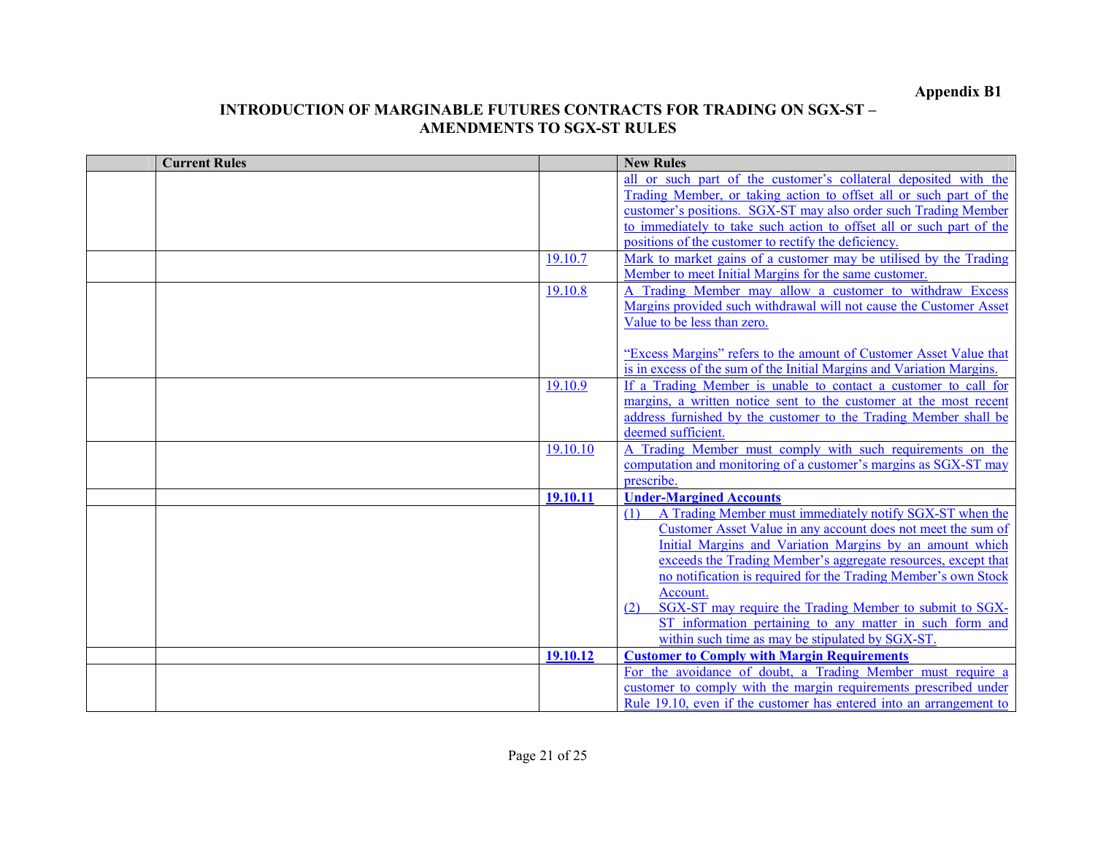| <b>Current Rules</b> |          | <b>New Rules</b>                                                                                                               |
|----------------------|----------|--------------------------------------------------------------------------------------------------------------------------------|
|                      |          | all or such part of the customer's collateral deposited with the                                                               |
|                      |          | Trading Member, or taking action to offset all or such part of the                                                             |
|                      |          | customer's positions. SGX-ST may also order such Trading Member                                                                |
|                      |          | to immediately to take such action to offset all or such part of the                                                           |
|                      |          | positions of the customer to rectify the deficiency.                                                                           |
|                      | 19.10.7  | Mark to market gains of a customer may be utilised by the Trading                                                              |
|                      |          | Member to meet Initial Margins for the same customer.                                                                          |
|                      | 19.10.8  | A Trading Member may allow a customer to withdraw Excess                                                                       |
|                      |          | Margins provided such withdrawal will not cause the Customer Asset                                                             |
|                      |          | Value to be less than zero.                                                                                                    |
|                      |          |                                                                                                                                |
|                      |          | "Excess Margins" refers to the amount of Customer Asset Value that                                                             |
|                      |          | is in excess of the sum of the Initial Margins and Variation Margins.                                                          |
|                      | 19.10.9  | If a Trading Member is unable to contact a customer to call for                                                                |
|                      |          | margins, a written notice sent to the customer at the most recent                                                              |
|                      |          | address furnished by the customer to the Trading Member shall be                                                               |
|                      |          | deemed sufficient.                                                                                                             |
|                      | 19.10.10 | A Trading Member must comply with such requirements on the<br>computation and monitoring of a customer's margins as SGX-ST may |
|                      |          | prescribe.                                                                                                                     |
|                      |          | <b>Under-Margined Accounts</b>                                                                                                 |
|                      | 19.10.11 | A Trading Member must immediately notify SGX-ST when the                                                                       |
|                      |          | (1)<br>Customer Asset Value in any account does not meet the sum of                                                            |
|                      |          | Initial Margins and Variation Margins by an amount which                                                                       |
|                      |          | exceeds the Trading Member's aggregate resources, except that                                                                  |
|                      |          | no notification is required for the Trading Member's own Stock                                                                 |
|                      |          | Account.                                                                                                                       |
|                      |          | SGX-ST may require the Trading Member to submit to SGX-<br>(2)                                                                 |
|                      |          | ST information pertaining to any matter in such form and                                                                       |
|                      |          | within such time as may be stipulated by SGX-ST.                                                                               |
|                      | 19.10.12 | <b>Customer to Comply with Margin Requirements</b>                                                                             |
|                      |          | For the avoidance of doubt, a Trading Member must require a                                                                    |
|                      |          | customer to comply with the margin requirements prescribed under                                                               |
|                      |          | Rule 19.10, even if the customer has entered into an arrangement to                                                            |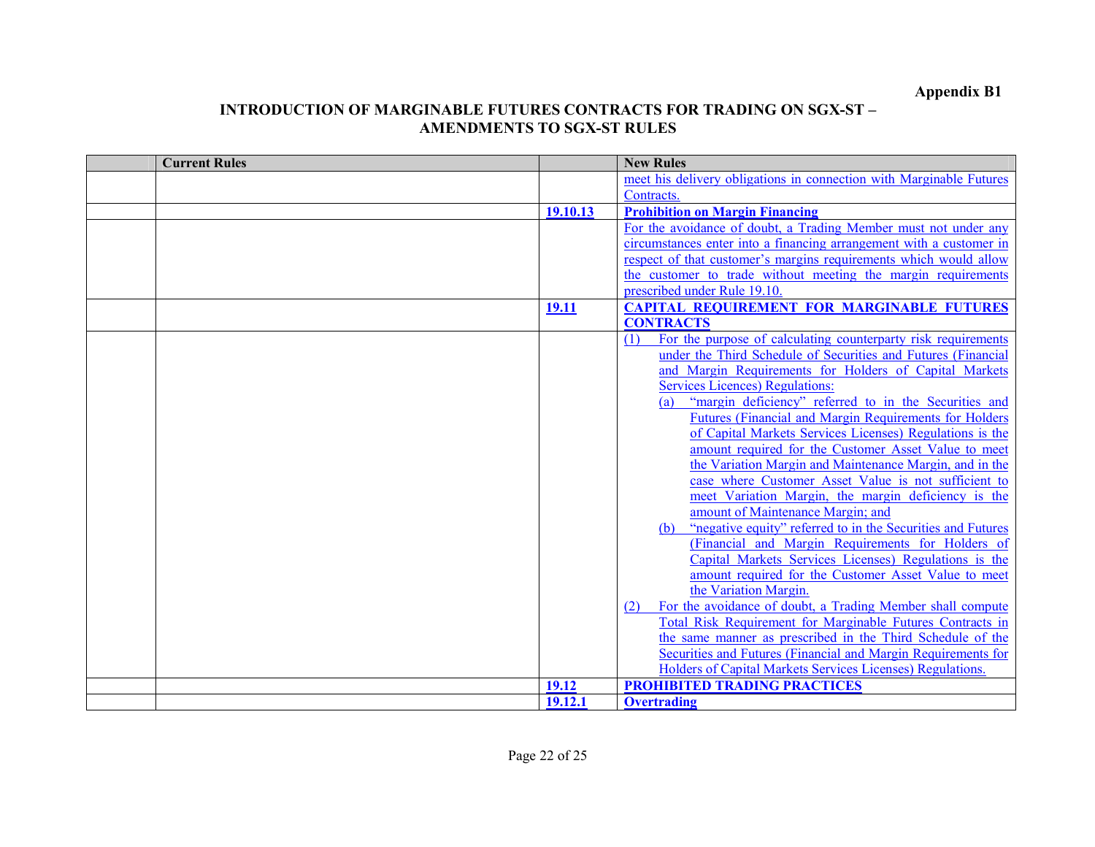| <b>Current Rules</b> |          | <b>New Rules</b>                                                     |
|----------------------|----------|----------------------------------------------------------------------|
|                      |          | meet his delivery obligations in connection with Marginable Futures  |
|                      |          | Contracts.                                                           |
|                      | 19.10.13 | <b>Prohibition on Margin Financing</b>                               |
|                      |          | For the avoidance of doubt, a Trading Member must not under any      |
|                      |          | circumstances enter into a financing arrangement with a customer in  |
|                      |          | respect of that customer's margins requirements which would allow    |
|                      |          | the customer to trade without meeting the margin requirements        |
|                      |          | prescribed under Rule 19.10.                                         |
|                      | 19.11    | <b>CAPITAL REQUIREMENT FOR MARGINABLE FUTURES</b>                    |
|                      |          | <b>CONTRACTS</b>                                                     |
|                      |          | For the purpose of calculating counterparty risk requirements<br>(1) |
|                      |          | under the Third Schedule of Securities and Futures (Financial        |
|                      |          | and Margin Requirements for Holders of Capital Markets               |
|                      |          | <b>Services Licences) Regulations:</b>                               |
|                      |          | "margin deficiency" referred to in the Securities and                |
|                      |          | Futures (Financial and Margin Requirements for Holders               |
|                      |          | of Capital Markets Services Licenses) Regulations is the             |
|                      |          | amount required for the Customer Asset Value to meet                 |
|                      |          | the Variation Margin and Maintenance Margin, and in the              |
|                      |          | case where Customer Asset Value is not sufficient to                 |
|                      |          | meet Variation Margin, the margin deficiency is the                  |
|                      |          | amount of Maintenance Margin; and                                    |
|                      |          | "negative equity" referred to in the Securities and Futures<br>(b)   |
|                      |          | (Financial and Margin Requirements for Holders of                    |
|                      |          | Capital Markets Services Licenses) Regulations is the                |
|                      |          | amount required for the Customer Asset Value to meet                 |
|                      |          | the Variation Margin.                                                |
|                      |          | For the avoidance of doubt, a Trading Member shall compute<br>(2)    |
|                      |          | Total Risk Requirement for Marginable Futures Contracts in           |
|                      |          | the same manner as prescribed in the Third Schedule of the           |
|                      |          | Securities and Futures (Financial and Margin Requirements for        |
|                      |          | Holders of Capital Markets Services Licenses) Regulations.           |
|                      | 19.12    | <b>PROHIBITED TRADING PRACTICES</b>                                  |
|                      | 19.12.1  | <b>Overtrading</b>                                                   |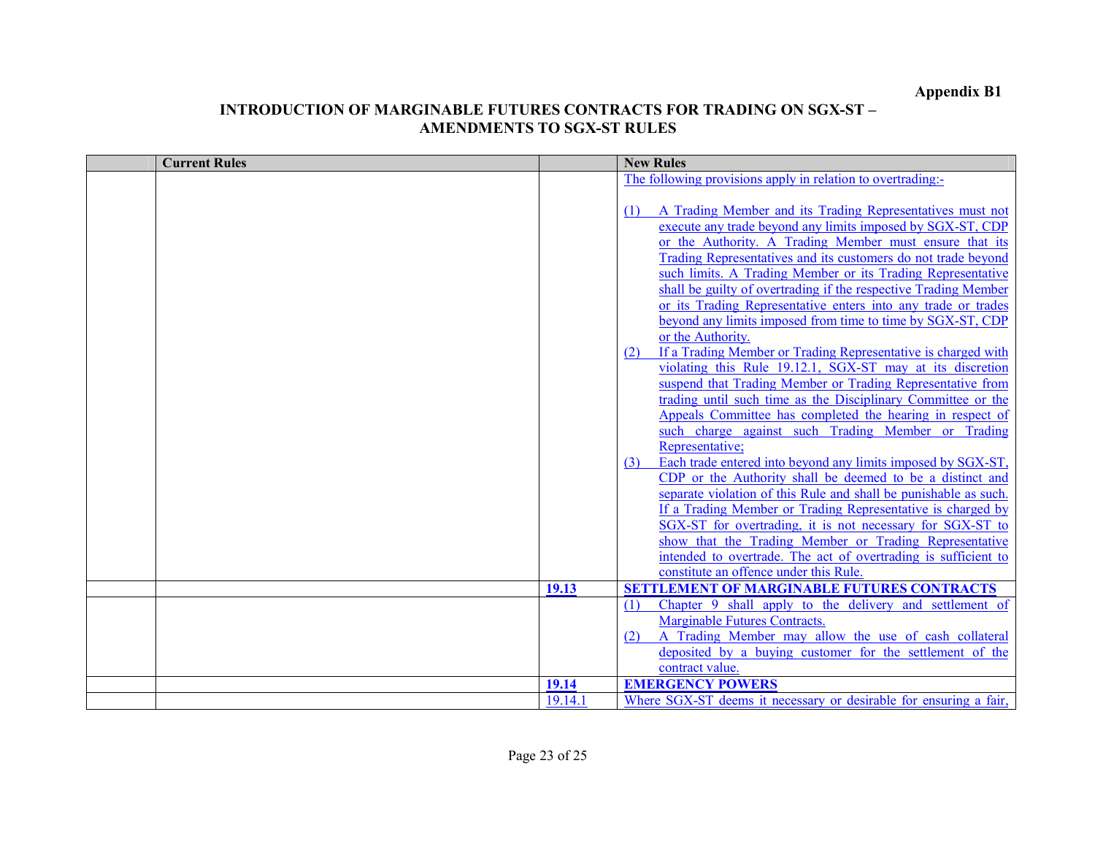| <b>Current Rules</b> |         | <b>New Rules</b>                                                                                                        |
|----------------------|---------|-------------------------------------------------------------------------------------------------------------------------|
|                      |         | The following provisions apply in relation to overtrading:-                                                             |
|                      |         |                                                                                                                         |
|                      |         | A Trading Member and its Trading Representatives must not<br>(1)                                                        |
|                      |         | execute any trade beyond any limits imposed by SGX-ST, CDP                                                              |
|                      |         | or the Authority. A Trading Member must ensure that its                                                                 |
|                      |         | Trading Representatives and its customers do not trade beyond                                                           |
|                      |         | such limits. A Trading Member or its Trading Representative                                                             |
|                      |         | shall be guilty of overtrading if the respective Trading Member                                                         |
|                      |         | or its Trading Representative enters into any trade or trades                                                           |
|                      |         | beyond any limits imposed from time to time by SGX-ST, CDP                                                              |
|                      |         | or the Authority.                                                                                                       |
|                      |         | If a Trading Member or Trading Representative is charged with<br>(2)                                                    |
|                      |         | violating this Rule 19.12.1, SGX-ST may at its discretion<br>suspend that Trading Member or Trading Representative from |
|                      |         | trading until such time as the Disciplinary Committee or the                                                            |
|                      |         | Appeals Committee has completed the hearing in respect of                                                               |
|                      |         | such charge against such Trading Member or Trading                                                                      |
|                      |         | Representative;                                                                                                         |
|                      |         | Each trade entered into beyond any limits imposed by SGX-ST,<br>(3)                                                     |
|                      |         | CDP or the Authority shall be deemed to be a distinct and                                                               |
|                      |         | separate violation of this Rule and shall be punishable as such.                                                        |
|                      |         | If a Trading Member or Trading Representative is charged by                                                             |
|                      |         | SGX-ST for overtrading, it is not necessary for SGX-ST to                                                               |
|                      |         | show that the Trading Member or Trading Representative                                                                  |
|                      |         | intended to overtrade. The act of overtrading is sufficient to                                                          |
|                      |         | constitute an offence under this Rule.                                                                                  |
|                      | 19.13   | <b>SETTLEMENT OF MARGINABLE FUTURES CONTRACTS</b>                                                                       |
|                      |         | Chapter 9 shall apply to the delivery and settlement of<br>(1)                                                          |
|                      |         | <b>Marginable Futures Contracts.</b>                                                                                    |
|                      |         | A Trading Member may allow the use of cash collateral<br>(2)                                                            |
|                      |         | deposited by a buying customer for the settlement of the                                                                |
|                      |         | contract value.                                                                                                         |
|                      | 19.14   | <b>EMERGENCY POWERS</b>                                                                                                 |
|                      | 19.14.1 | Where SGX-ST deems it necessary or desirable for ensuring a fair,                                                       |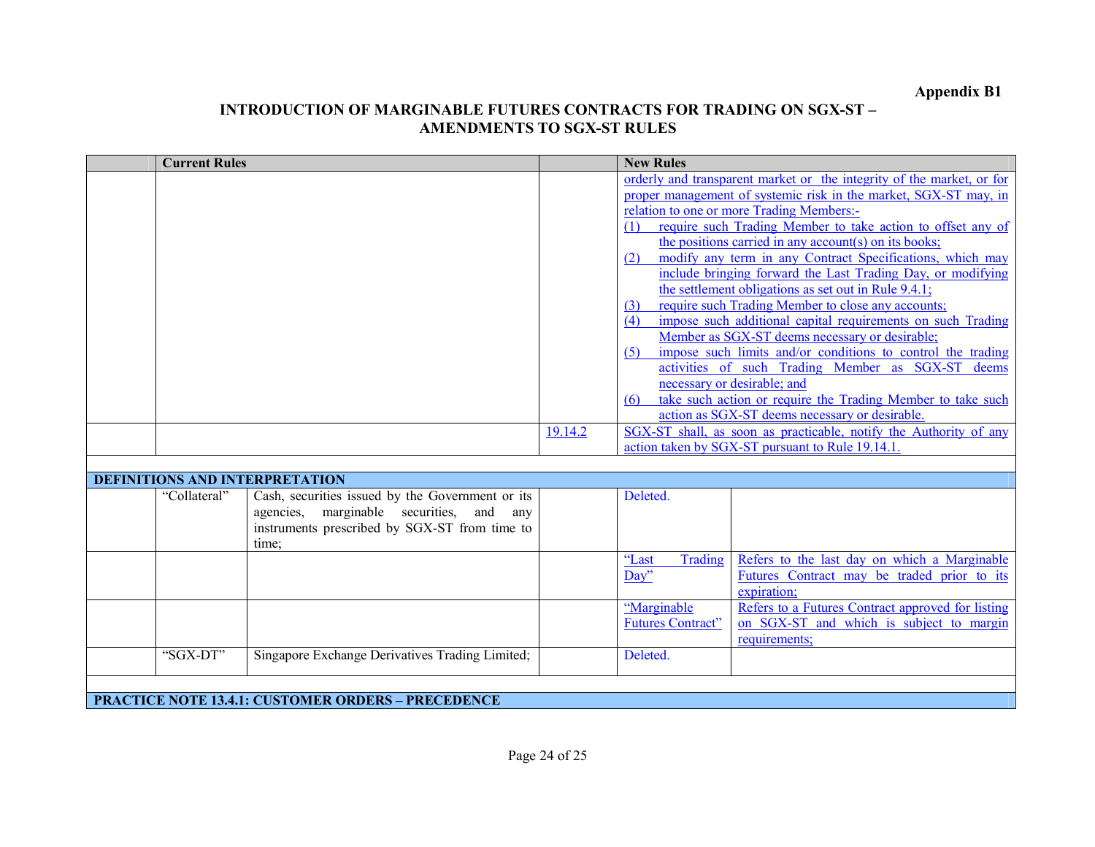|                                                           | <b>Current Rules</b> |                                                                                                                                                              |         | <b>New Rules</b>                         |                                                                                                                                                                                                                                                                                                                                                                                                                                                                                                                                                                                                                                                                                                                                                                                                                                                                                                                                                                                                                                                                       |  |
|-----------------------------------------------------------|----------------------|--------------------------------------------------------------------------------------------------------------------------------------------------------------|---------|------------------------------------------|-----------------------------------------------------------------------------------------------------------------------------------------------------------------------------------------------------------------------------------------------------------------------------------------------------------------------------------------------------------------------------------------------------------------------------------------------------------------------------------------------------------------------------------------------------------------------------------------------------------------------------------------------------------------------------------------------------------------------------------------------------------------------------------------------------------------------------------------------------------------------------------------------------------------------------------------------------------------------------------------------------------------------------------------------------------------------|--|
|                                                           |                      |                                                                                                                                                              | 19.14.2 | (1)<br>(2)<br>(3)<br>(4)<br>(5)<br>(6)   | orderly and transparent market or the integrity of the market, or for<br>proper management of systemic risk in the market, SGX-ST may, in<br>relation to one or more Trading Members:-<br>require such Trading Member to take action to offset any of<br>the positions carried in any account(s) on its books;<br>modify any term in any Contract Specifications, which may<br>include bringing forward the Last Trading Day, or modifying<br>the settlement obligations as set out in Rule 9.4.1;<br>require such Trading Member to close any accounts;<br>impose such additional capital requirements on such Trading<br>Member as SGX-ST deems necessary or desirable;<br>impose such limits and/or conditions to control the trading<br>activities of such Trading Member as SGX-ST deems<br>necessary or desirable; and<br>take such action or require the Trading Member to take such<br>action as SGX-ST deems necessary or desirable.<br>SGX-ST shall, as soon as practicable, notify the Authority of any<br>action taken by SGX-ST pursuant to Rule 19.14.1 |  |
| <b>DEFINITIONS AND INTERPRETATION</b>                     |                      |                                                                                                                                                              |         |                                          |                                                                                                                                                                                                                                                                                                                                                                                                                                                                                                                                                                                                                                                                                                                                                                                                                                                                                                                                                                                                                                                                       |  |
|                                                           | "Collateral"         | Cash, securities issued by the Government or its<br>agencies, marginable securities,<br>and<br>any<br>instruments prescribed by SGX-ST from time to<br>time: |         | Deleted.                                 |                                                                                                                                                                                                                                                                                                                                                                                                                                                                                                                                                                                                                                                                                                                                                                                                                                                                                                                                                                                                                                                                       |  |
|                                                           |                      |                                                                                                                                                              |         | Trading<br>"Last<br>Day"                 | Refers to the last day on which a Marginable<br>Futures Contract may be traded prior to its<br>expiration;                                                                                                                                                                                                                                                                                                                                                                                                                                                                                                                                                                                                                                                                                                                                                                                                                                                                                                                                                            |  |
|                                                           |                      |                                                                                                                                                              |         | "Marginable"<br><b>Futures Contract"</b> | Refers to a Futures Contract approved for listing<br>on SGX-ST and which is subject to margin<br>requirements;                                                                                                                                                                                                                                                                                                                                                                                                                                                                                                                                                                                                                                                                                                                                                                                                                                                                                                                                                        |  |
|                                                           | "SGX-DT"             | Singapore Exchange Derivatives Trading Limited;                                                                                                              |         | Deleted.                                 |                                                                                                                                                                                                                                                                                                                                                                                                                                                                                                                                                                                                                                                                                                                                                                                                                                                                                                                                                                                                                                                                       |  |
| <b>PRACTICE NOTE 13.4.1: CUSTOMER ORDERS - PRECEDENCE</b> |                      |                                                                                                                                                              |         |                                          |                                                                                                                                                                                                                                                                                                                                                                                                                                                                                                                                                                                                                                                                                                                                                                                                                                                                                                                                                                                                                                                                       |  |